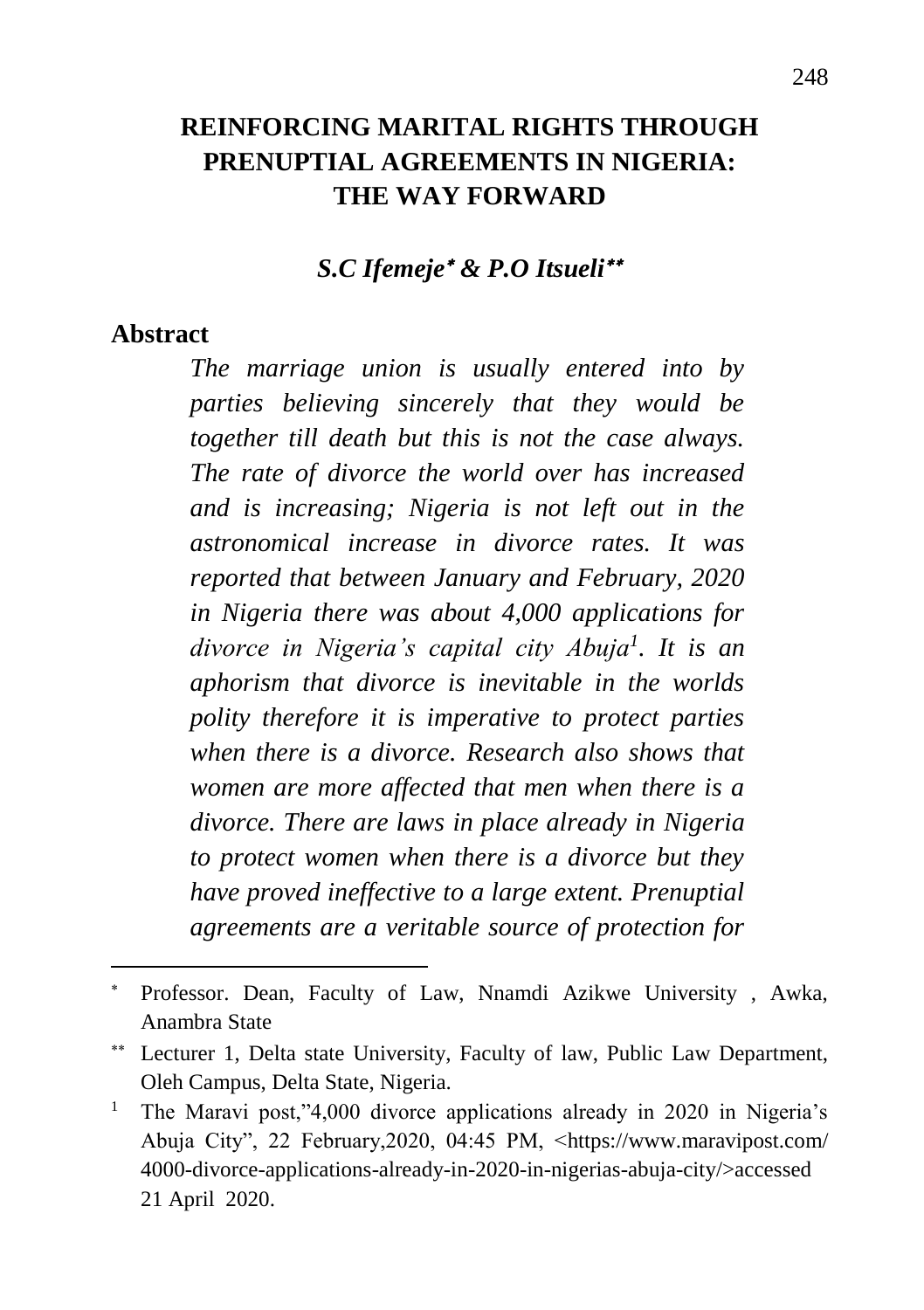### **REINFORCING MARITAL RIGHTS THROUGH PRENUPTIAL AGREEMENTS IN NIGERIA: THE WAY FORWARD**

#### *S.C Ifemeje & P.O Itsueli*

#### **Abstract**

 $\overline{a}$ 

*The marriage union is usually entered into by parties believing sincerely that they would be together till death but this is not the case always. The rate of divorce the world over has increased and is increasing; Nigeria is not left out in the astronomical increase in divorce rates. It was reported that between January and February, 2020 in Nigeria there was about 4,000 applications for divorce in Nigeria's capital city Abuja<sup>1</sup> . It is an aphorism that divorce is inevitable in the worlds polity therefore it is imperative to protect parties when there is a divorce. Research also shows that women are more affected that men when there is a divorce. There are laws in place already in Nigeria to protect women when there is a divorce but they have proved ineffective to a large extent. Prenuptial agreements are a veritable source of protection for* 

Professor. Dean, Faculty of Law, Nnamdi Azikwe University , Awka, Anambra State

Lecturer 1, Delta state University, Faculty of law, Public Law Department, Oleh Campus, Delta State, Nigeria.

<sup>&</sup>lt;sup>1</sup> The Maravi post,"4,000 divorce applications already in 2020 in Nigeria's Abuja City", 22 February,2020, 04:45 PM, <https://www.maravipost.com/ 4000-divorce-applications-already-in-2020-in-nigerias-abuja-city/>accessed 21 April 2020.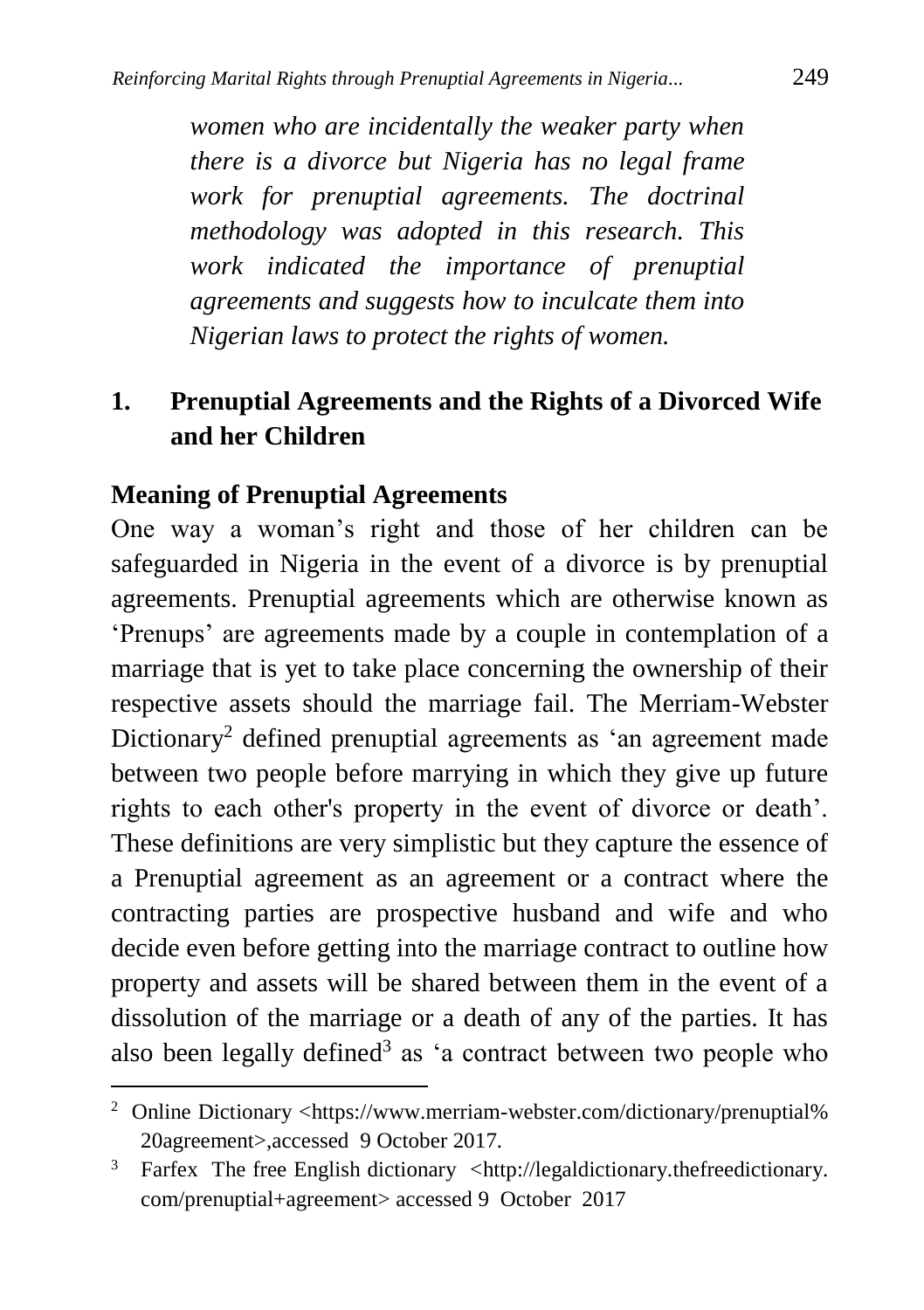*women who are incidentally the weaker party when there is a divorce but Nigeria has no legal frame work for prenuptial agreements. The doctrinal methodology was adopted in this research. This work indicated the importance of prenuptial agreements and suggests how to inculcate them into Nigerian laws to protect the rights of women.*

## **1. Prenuptial Agreements and the Rights of a Divorced Wife and her Children**

### **Meaning of Prenuptial Agreements**

 $\ddot{\phantom{a}}$ 

One way a woman's right and those of her children can be safeguarded in Nigeria in the event of a divorce is by prenuptial agreements. Prenuptial agreements which are otherwise known as 'Prenups' are agreements made by a couple in contemplation of a marriage that is yet to take place concerning the ownership of their respective assets should the marriage fail. The Merriam-Webster Dictionary<sup>2</sup> defined prenuptial agreements as 'an agreement made between two people before marrying in which they give up future rights to each other's property in the event of divorce or death'. These definitions are very simplistic but they capture the essence of a Prenuptial agreement as an agreement or a contract where the contracting parties are prospective husband and wife and who decide even before getting into the marriage contract to outline how property and assets will be shared between them in the event of a dissolution of the marriage or a death of any of the parties. It has also been legally defined<sup>3</sup> as 'a contract between two people who

<sup>&</sup>lt;sup>2</sup> Online Dictionary <https://www.merriam-webster.com/dictionary/prenuptial% [20agreement>](https://www.merriam-webster.com/dictionary/prenuptial%25%2020agreement),accessed 9 October 2017.

 $3$  Farfex The free English dictionary <http://legaldictionary.thefreedictionary. com/prenuptial+agreement> accessed 9 October 2017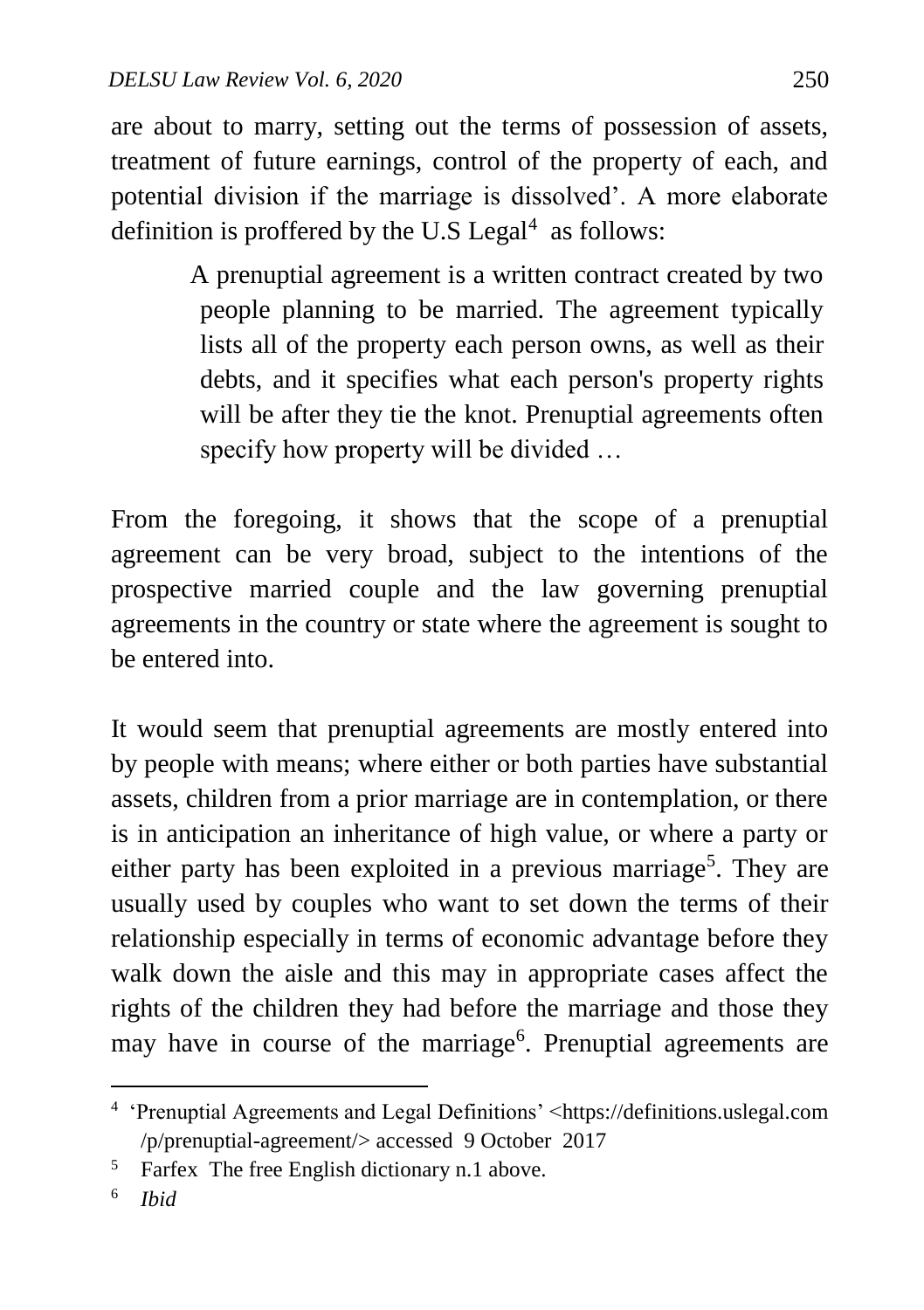are about to marry, setting out the terms of possession of assets, treatment of future earnings, control of the property of each, and potential division if the marriage is dissolved'. A more elaborate definition is proffered by the U.S Legal $4$  as follows:

> A prenuptial agreement is a written contract created by two people planning to be married. The agreement typically lists all of the property each person owns, as well as their debts, and it specifies what each person's property rights will be after they tie the knot. Prenuptial agreements often specify how property will be divided ...

From the foregoing, it shows that the scope of a prenuptial agreement can be very broad, subject to the intentions of the prospective married couple and the law governing prenuptial agreements in the country or state where the agreement is sought to be entered into.

It would seem that prenuptial agreements are mostly entered into by people with means; where either or both parties have substantial assets, children from a prior marriage are in contemplation, or there is in anticipation an inheritance of high value, or where a party or either party has been exploited in a previous marriage<sup>5</sup>. They are usually used by couples who want to set down the terms of their relationship especially in terms of economic advantage before they walk down the aisle and this may in appropriate cases affect the rights of the children they had before the marriage and those they may have in course of the marriage<sup>6</sup>. Prenuptial agreements are

 $\ddot{\phantom{a}}$ 

<sup>4</sup> 'Prenuptial Agreements and Legal Definitions' <https://definitions.uslegal.com /p/prenuptial-agreement/> accessed 9 October 2017

<sup>5</sup> Farfex The free English dictionary n.1 above.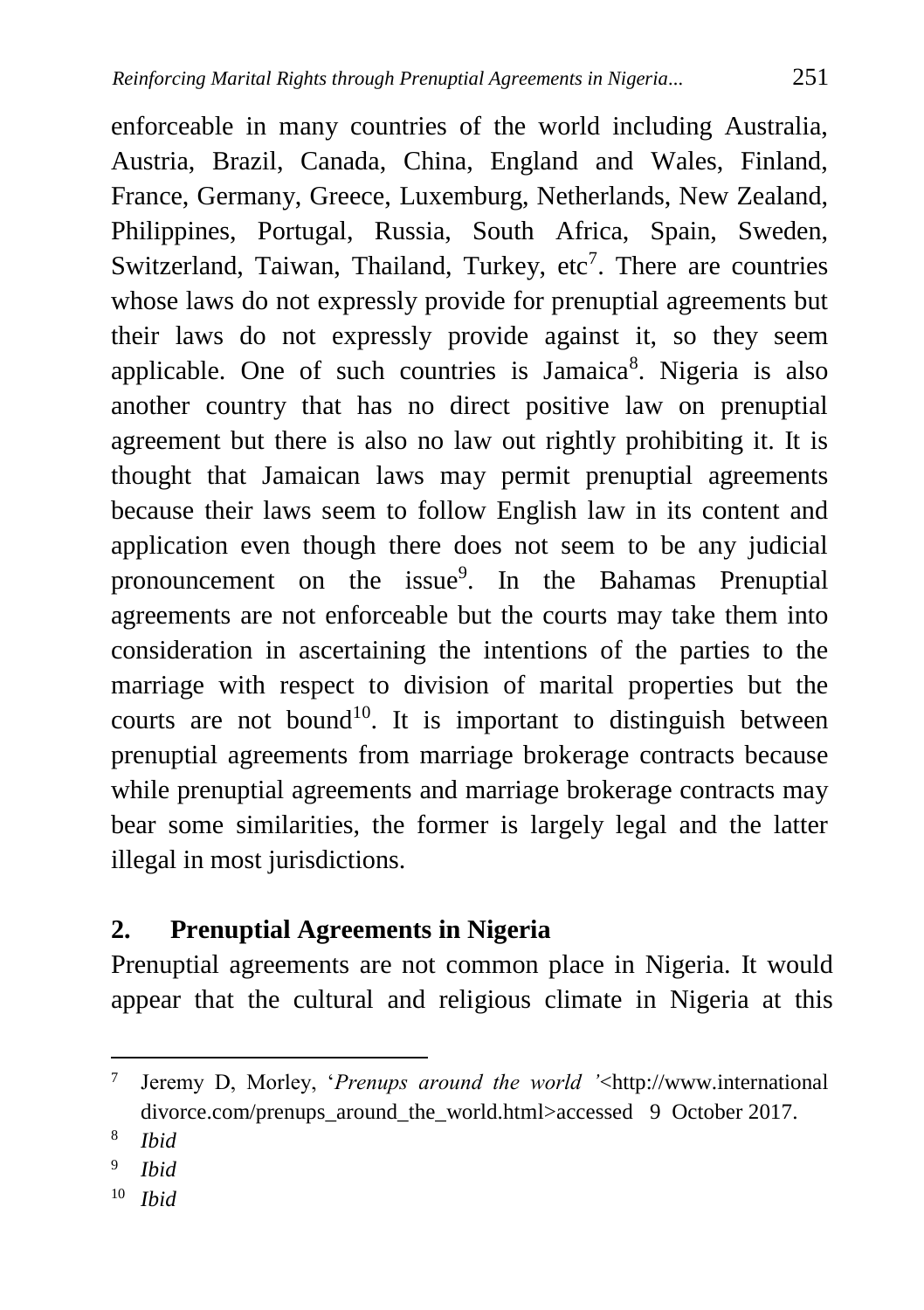enforceable in many countries of the world including Australia, Austria, Brazil, Canada, China, England and Wales, Finland, France, Germany, Greece, Luxemburg, Netherlands, New Zealand, Philippines, Portugal, Russia, South Africa, Spain, Sweden, Switzerland, Taiwan, Thailand, Turkey,  $etc<sup>7</sup>$ . There are countries whose laws do not expressly provide for prenuptial agreements but their laws do not expressly provide against it, so they seem applicable. One of such countries is Jamaica<sup>8</sup>. Nigeria is also another country that has no direct positive law on prenuptial agreement but there is also no law out rightly prohibiting it. It is thought that Jamaican laws may permit prenuptial agreements because their laws seem to follow English law in its content and application even though there does not seem to be any judicial pronouncement on the issue<sup>9</sup>. In the Bahamas Prenuptial agreements are not enforceable but the courts may take them into consideration in ascertaining the intentions of the parties to the marriage with respect to division of marital properties but the courts are not bound<sup>10</sup>. It is important to distinguish between prenuptial agreements from marriage brokerage contracts because while prenuptial agreements and marriage brokerage contracts may bear some similarities, the former is largely legal and the latter illegal in most jurisdictions.

### **2. Prenuptial Agreements in Nigeria**

Prenuptial agreements are not common place in Nigeria. It would appear that the cultural and religious climate in Nigeria at this

 $\ddot{\phantom{a}}$ 

<sup>10</sup> *Ibid*

<sup>7</sup> Jeremy D, Morley, '*Prenups around the world '*<http://www.international divorce.com/prenups\_around\_the\_world.html>accessed 9 October 2017.

<sup>8</sup> *Ibid*

<sup>9</sup> *Ibid*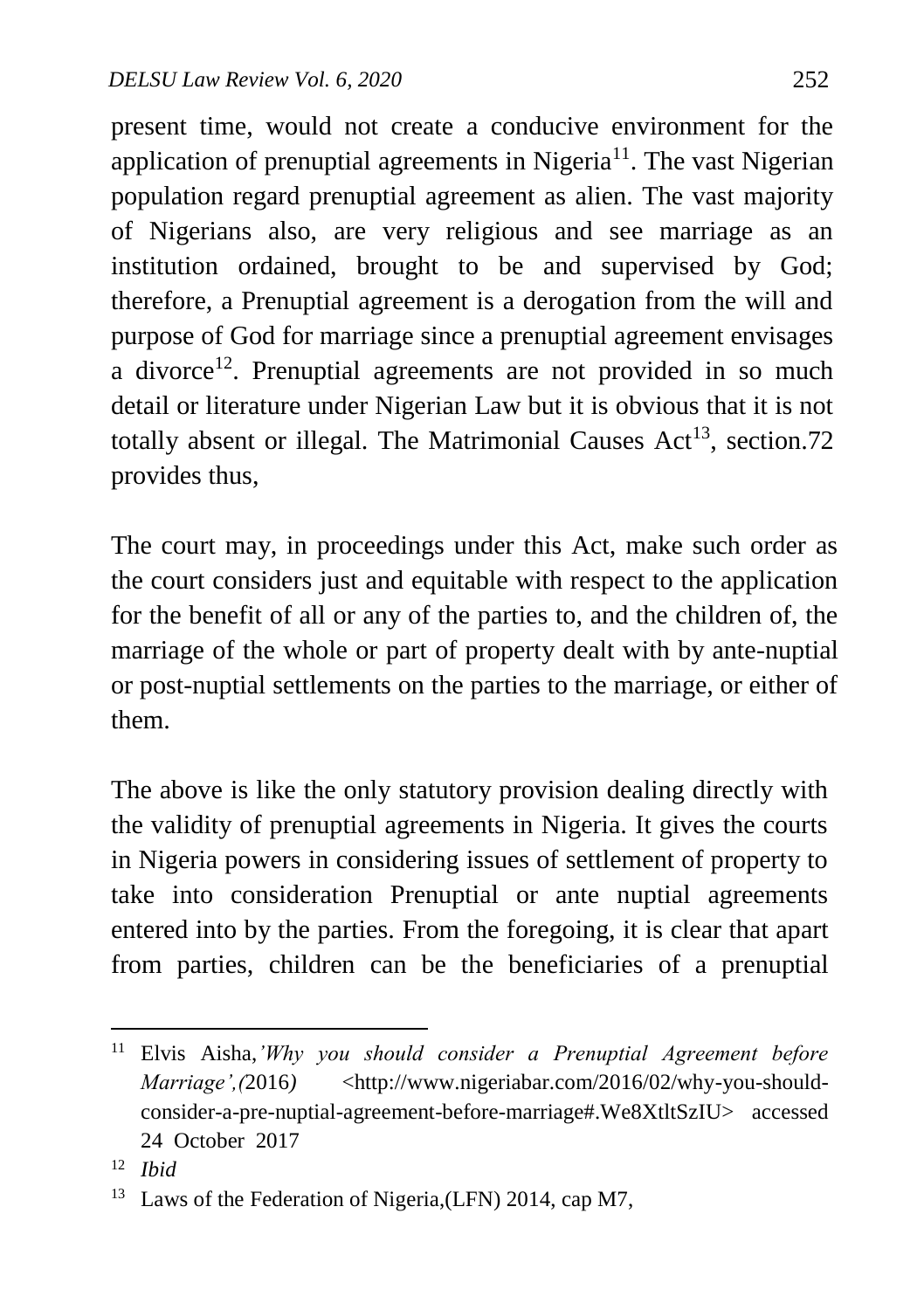present time, would not create a conducive environment for the application of prenuptial agreements in Nigeria<sup>11</sup>. The vast Nigerian population regard prenuptial agreement as alien. The vast majority of Nigerians also, are very religious and see marriage as an institution ordained, brought to be and supervised by God; therefore, a Prenuptial agreement is a derogation from the will and purpose of God for marriage since a prenuptial agreement envisages a divorce<sup>12</sup>. Prenuptial agreements are not provided in so much detail or literature under Nigerian Law but it is obvious that it is not totally absent or illegal. The Matrimonial Causes  $Act^{13}$ , section.72 provides thus,

The court may, in proceedings under this Act, make such order as the court considers just and equitable with respect to the application for the benefit of all or any of the parties to, and the children of, the marriage of the whole or part of property dealt with by ante-nuptial or post-nuptial settlements on the parties to the marriage, or either of them.

The above is like the only statutory provision dealing directly with the validity of prenuptial agreements in Nigeria. It gives the courts in Nigeria powers in considering issues of settlement of property to take into consideration Prenuptial or ante nuptial agreements entered into by the parties. From the foregoing, it is clear that apart from parties, children can be the beneficiaries of a prenuptial

 $\overline{a}$ <sup>11</sup> Elvis Aisha,*'Why you should consider a Prenuptial Agreement before Marriage',(2016)* <http://www.nigeriabar.com/2016/02/why-you-shouldconsider-a-pre-nuptial-agreement-before-marriage#.We8XtltSzIU> accessed 24 October 2017

<sup>12</sup> *Ibid*

<sup>13</sup> Laws of the Federation of Nigeria,(LFN) 2014, cap M7,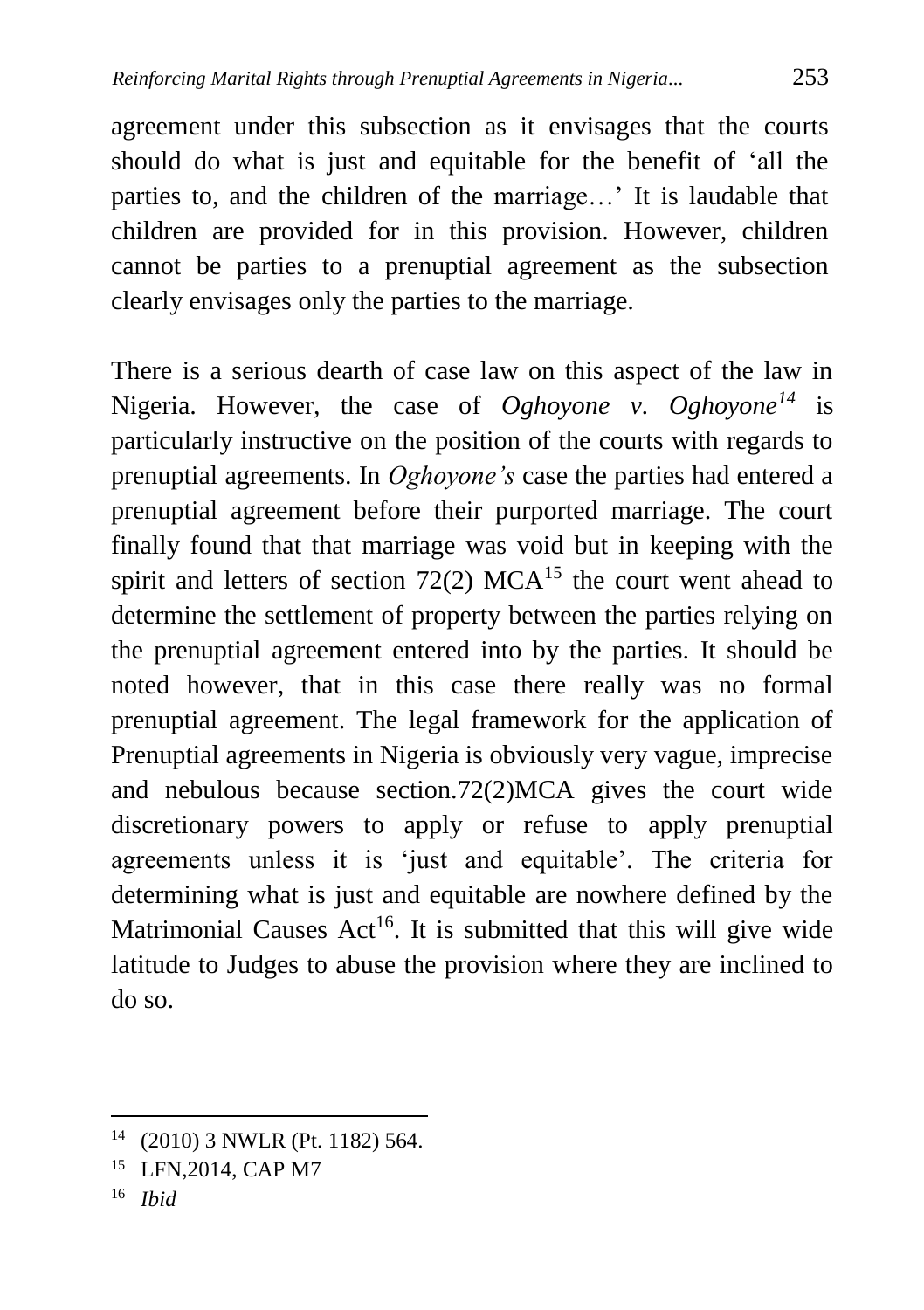agreement under this subsection as it envisages that the courts should do what is just and equitable for the benefit of 'all the parties to, and the children of the marriage…' It is laudable that children are provided for in this provision. However, children cannot be parties to a prenuptial agreement as the subsection clearly envisages only the parties to the marriage.

There is a serious dearth of case law on this aspect of the law in Nigeria. However, the case of *Oghoyone v. Oghoyone<sup>14</sup>* is particularly instructive on the position of the courts with regards to prenuptial agreements. In *Oghoyone's* case the parties had entered a prenuptial agreement before their purported marriage. The court finally found that that marriage was void but in keeping with the spirit and letters of section  $72(2)$  MCA<sup>15</sup> the court went ahead to determine the settlement of property between the parties relying on the prenuptial agreement entered into by the parties. It should be noted however, that in this case there really was no formal prenuptial agreement. The legal framework for the application of Prenuptial agreements in Nigeria is obviously very vague, imprecise and nebulous because section.72(2)MCA gives the court wide discretionary powers to apply or refuse to apply prenuptial agreements unless it is 'just and equitable'. The criteria for determining what is just and equitable are nowhere defined by the Matrimonial Causes  $Act^{16}$ . It is submitted that this will give wide latitude to Judges to abuse the provision where they are inclined to do so.

<sup>14</sup> (2010) 3 NWLR (Pt. 1182) 564.

<sup>15</sup> LFN,2014, CAP M7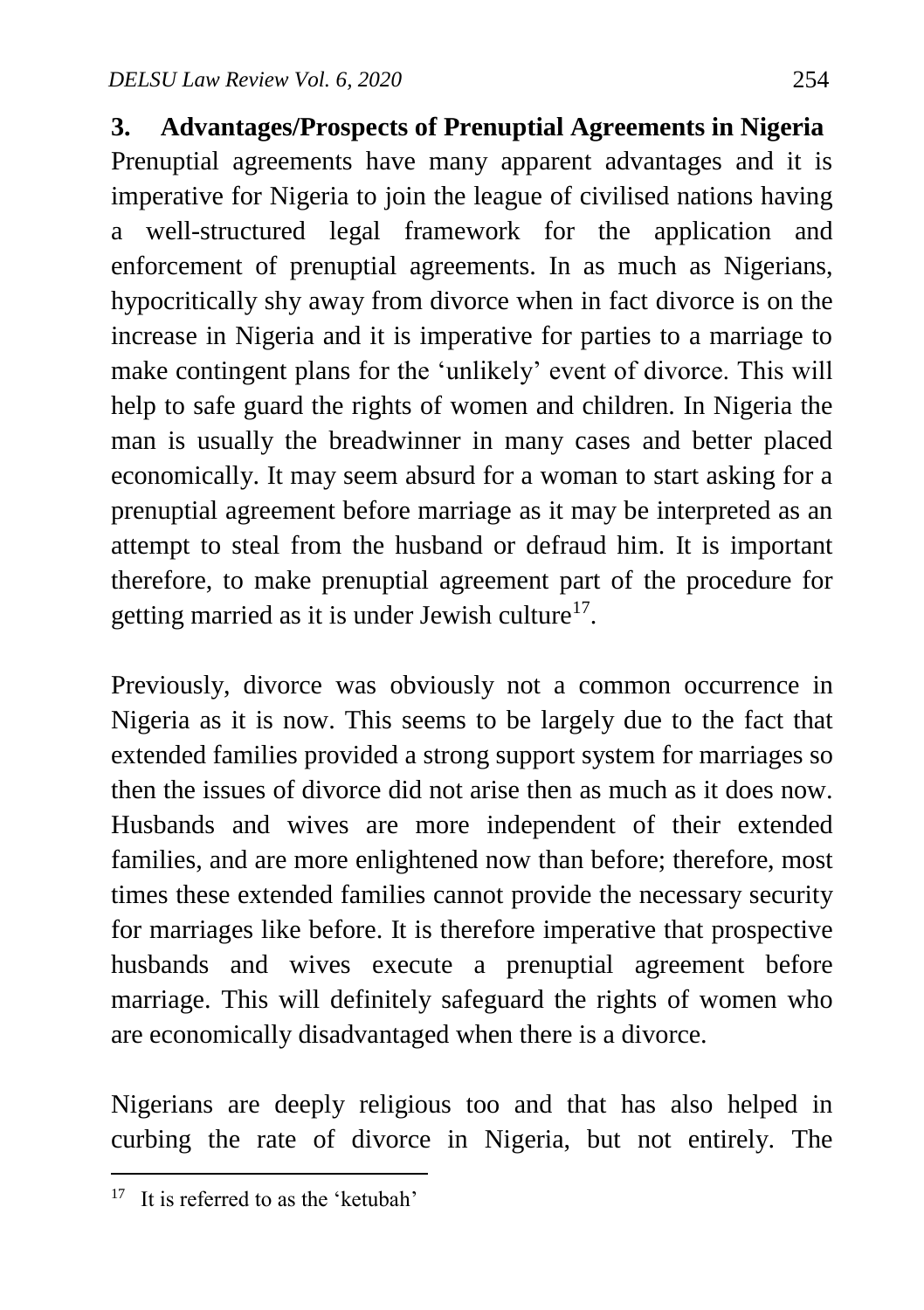**3. Advantages/Prospects of Prenuptial Agreements in Nigeria** Prenuptial agreements have many apparent advantages and it is imperative for Nigeria to join the league of civilised nations having a well-structured legal framework for the application and enforcement of prenuptial agreements. In as much as Nigerians, hypocritically shy away from divorce when in fact divorce is on the increase in Nigeria and it is imperative for parties to a marriage to make contingent plans for the 'unlikely' event of divorce. This will help to safe guard the rights of women and children. In Nigeria the man is usually the breadwinner in many cases and better placed economically. It may seem absurd for a woman to start asking for a prenuptial agreement before marriage as it may be interpreted as an attempt to steal from the husband or defraud him. It is important therefore, to make prenuptial agreement part of the procedure for getting married as it is under Jewish culture<sup>17</sup>.

Previously, divorce was obviously not a common occurrence in Nigeria as it is now. This seems to be largely due to the fact that extended families provided a strong support system for marriages so then the issues of divorce did not arise then as much as it does now. Husbands and wives are more independent of their extended families, and are more enlightened now than before; therefore, most times these extended families cannot provide the necessary security for marriages like before. It is therefore imperative that prospective husbands and wives execute a prenuptial agreement before marriage. This will definitely safeguard the rights of women who are economically disadvantaged when there is a divorce.

Nigerians are deeply religious too and that has also helped in curbing the rate of divorce in Nigeria, but not entirely. The

 $\ddot{\phantom{a}}$ 

<sup>&</sup>lt;sup>17</sup> It is referred to as the 'ketubah'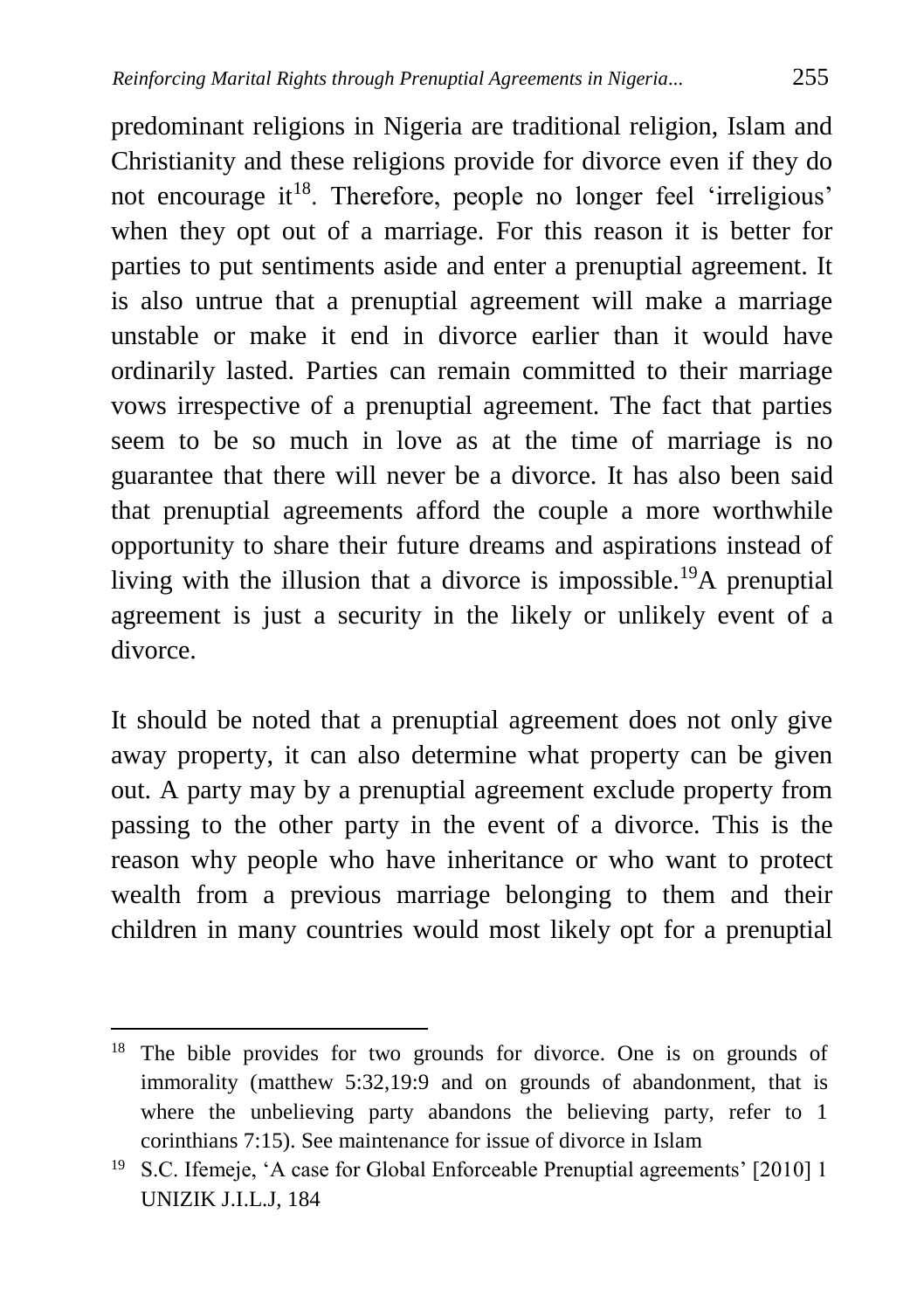predominant religions in Nigeria are traditional religion, Islam and Christianity and these religions provide for divorce even if they do not encourage it<sup>18</sup>. Therefore, people no longer feel 'irreligious' when they opt out of a marriage. For this reason it is better for parties to put sentiments aside and enter a prenuptial agreement. It is also untrue that a prenuptial agreement will make a marriage unstable or make it end in divorce earlier than it would have ordinarily lasted. Parties can remain committed to their marriage vows irrespective of a prenuptial agreement. The fact that parties seem to be so much in love as at the time of marriage is no guarantee that there will never be a divorce. It has also been said that prenuptial agreements afford the couple a more worthwhile opportunity to share their future dreams and aspirations instead of living with the illusion that a divorce is impossible.<sup>19</sup>A prenuptial agreement is just a security in the likely or unlikely event of a divorce.

It should be noted that a prenuptial agreement does not only give away property, it can also determine what property can be given out. A party may by a prenuptial agreement exclude property from passing to the other party in the event of a divorce. This is the reason why people who have inheritance or who want to protect wealth from a previous marriage belonging to them and their children in many countries would most likely opt for a prenuptial

 $\overline{a}$ <sup>18</sup> The bible provides for two grounds for divorce. One is on grounds of immorality (matthew 5:32,19:9 and on grounds of abandonment, that is where the unbelieving party abandons the believing party, refer to 1 corinthians 7:15). See maintenance for issue of divorce in Islam

<sup>&</sup>lt;sup>19</sup> S.C. Ifemeje, 'A case for Global Enforceable Prenuptial agreements' [2010] 1 UNIZIK J.I.L.J, 184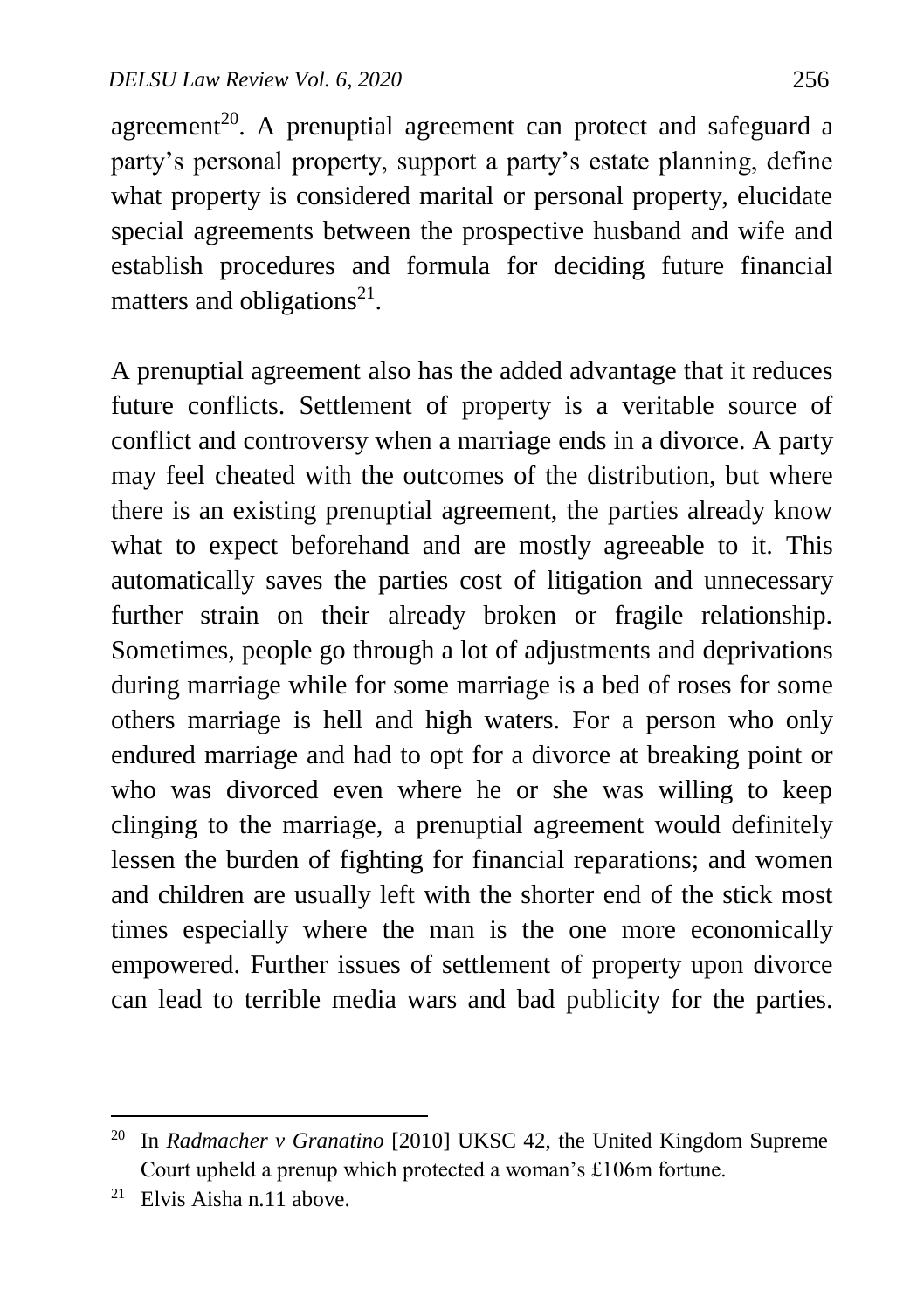agreement<sup>20</sup>. A prenuptial agreement can protect and safeguard a party's personal property, support a party's estate planning, define what property is considered marital or personal property, elucidate special agreements between the prospective husband and wife and establish procedures and formula for deciding future financial matters and obligations<sup>21</sup>.

A prenuptial agreement also has the added advantage that it reduces future conflicts. Settlement of property is a veritable source of conflict and controversy when a marriage ends in a divorce. A party may feel cheated with the outcomes of the distribution, but where there is an existing prenuptial agreement, the parties already know what to expect beforehand and are mostly agreeable to it. This automatically saves the parties cost of litigation and unnecessary further strain on their already broken or fragile relationship. Sometimes, people go through a lot of adjustments and deprivations during marriage while for some marriage is a bed of roses for some others marriage is hell and high waters. For a person who only endured marriage and had to opt for a divorce at breaking point or who was divorced even where he or she was willing to keep clinging to the marriage, a prenuptial agreement would definitely lessen the burden of fighting for financial reparations; and women and children are usually left with the shorter end of the stick most times especially where the man is the one more economically empowered. Further issues of settlement of property upon divorce can lead to terrible media wars and bad publicity for the parties.

<sup>20</sup> In *Radmacher v Granatino* [2010] UKSC 42, the United Kingdom Supreme Court upheld a prenup which protected a woman's £106m fortune.

 $21$  Elvis Aisha n.11 above.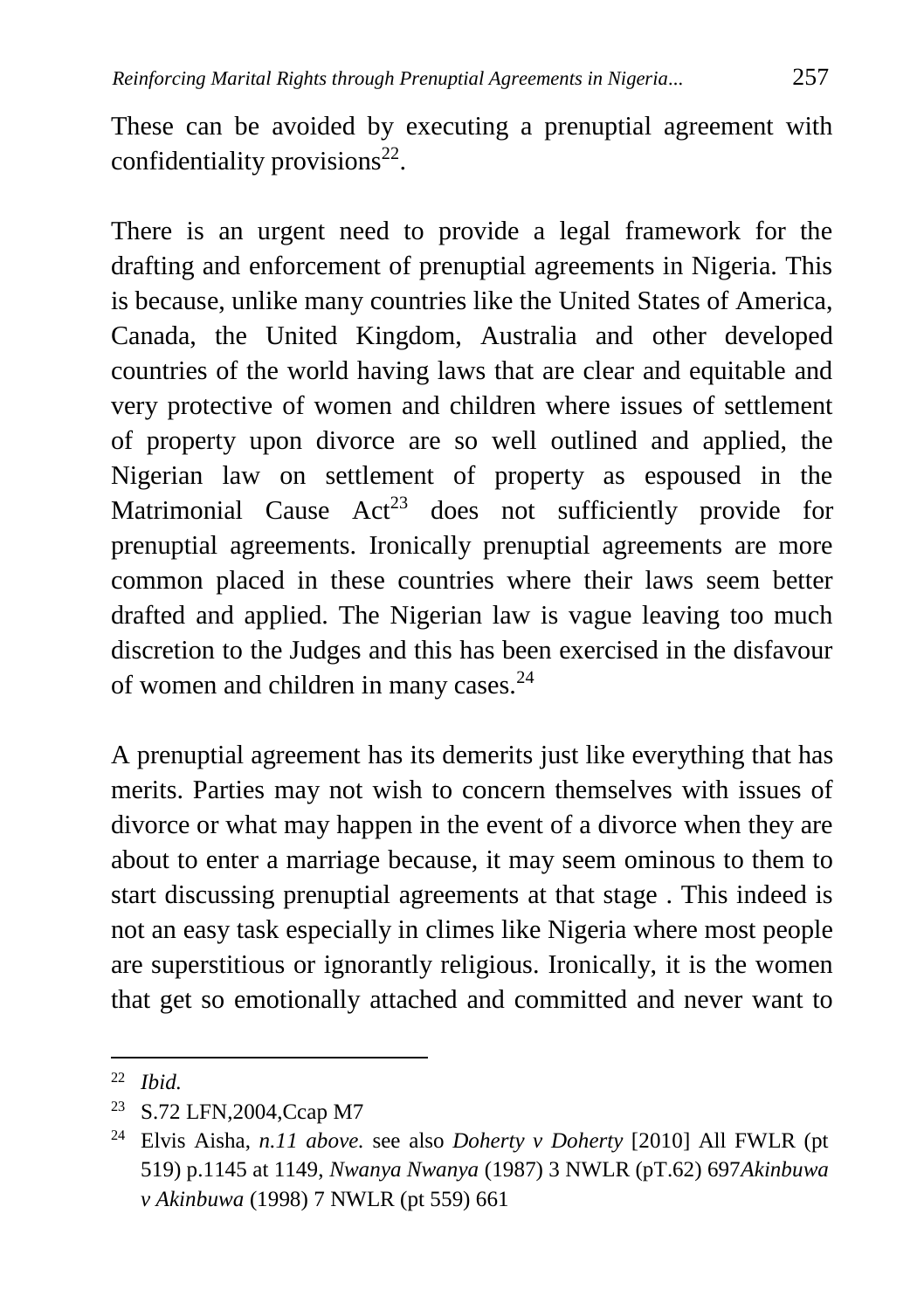These can be avoided by executing a prenuptial agreement with confidentiality provisions<sup>22</sup>.

There is an urgent need to provide a legal framework for the drafting and enforcement of prenuptial agreements in Nigeria. This is because, unlike many countries like the United States of America, Canada, the United Kingdom, Australia and other developed countries of the world having laws that are clear and equitable and very protective of women and children where issues of settlement of property upon divorce are so well outlined and applied, the Nigerian law on settlement of property as espoused in the Matrimonial Cause  $Act^{23}$  does not sufficiently provide for prenuptial agreements. Ironically prenuptial agreements are more common placed in these countries where their laws seem better drafted and applied. The Nigerian law is vague leaving too much discretion to the Judges and this has been exercised in the disfavour of women and children in many cases.<sup>24</sup>

A prenuptial agreement has its demerits just like everything that has merits. Parties may not wish to concern themselves with issues of divorce or what may happen in the event of a divorce when they are about to enter a marriage because, it may seem ominous to them to start discussing prenuptial agreements at that stage . This indeed is not an easy task especially in climes like Nigeria where most people are superstitious or ignorantly religious. Ironically, it is the women that get so emotionally attached and committed and never want to

<sup>22</sup> *Ibid.*

<sup>23</sup> S.72 LFN,2004,Ccap M7

<sup>24</sup> Elvis Aisha, *n.11 above.* see also *Doherty v Doherty* [2010] All FWLR (pt 519) p.1145 at 1149, *Nwanya Nwanya* (1987) 3 NWLR (pT.62) 697*Akinbuwa v Akinbuwa* (1998) 7 NWLR (pt 559) 661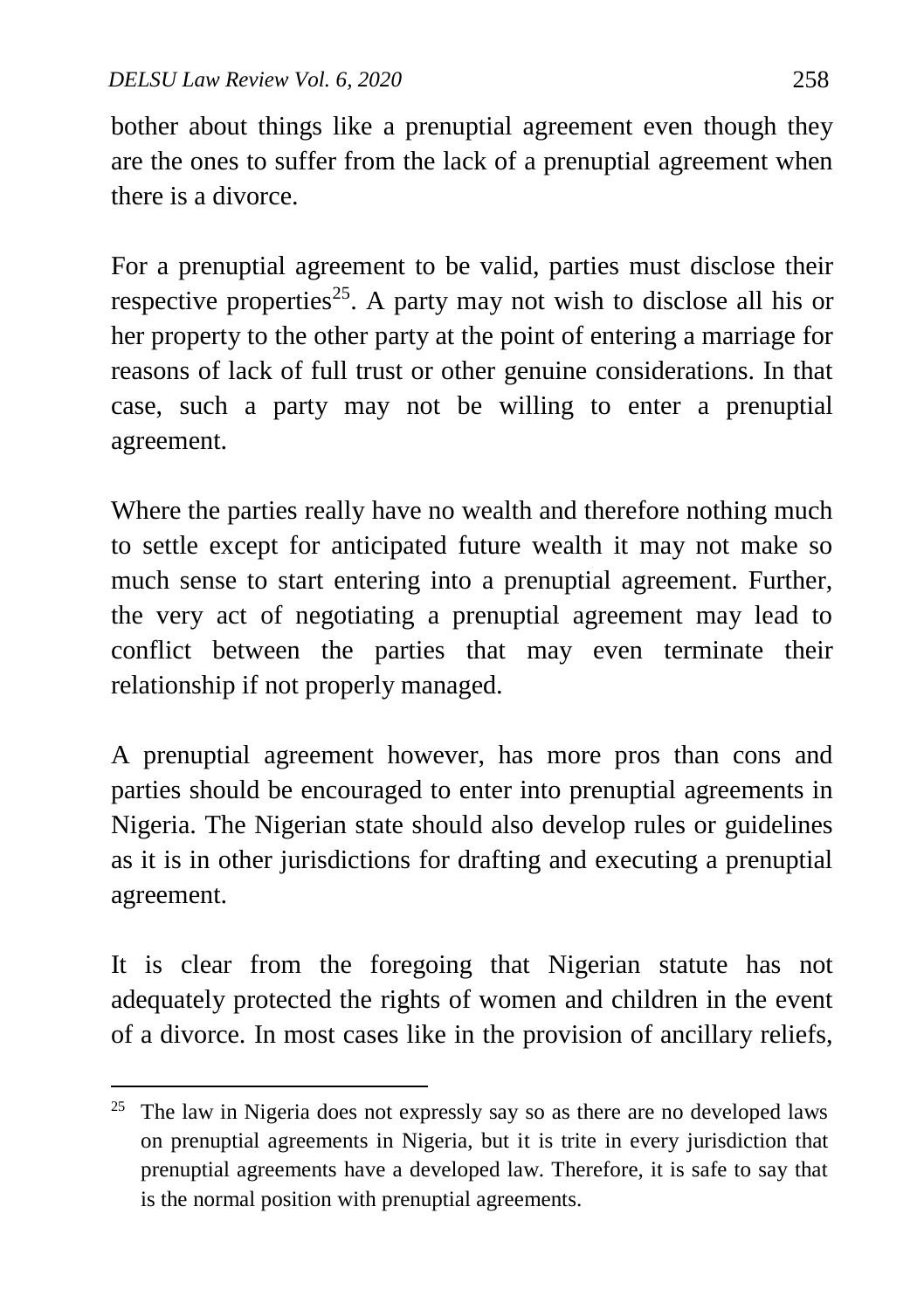$\overline{a}$ 

bother about things like a prenuptial agreement even though they are the ones to suffer from the lack of a prenuptial agreement when there is a divorce.

For a prenuptial agreement to be valid, parties must disclose their respective properties<sup>25</sup>. A party may not wish to disclose all his or her property to the other party at the point of entering a marriage for reasons of lack of full trust or other genuine considerations. In that case, such a party may not be willing to enter a prenuptial agreement.

Where the parties really have no wealth and therefore nothing much to settle except for anticipated future wealth it may not make so much sense to start entering into a prenuptial agreement. Further, the very act of negotiating a prenuptial agreement may lead to conflict between the parties that may even terminate their relationship if not properly managed.

A prenuptial agreement however, has more pros than cons and parties should be encouraged to enter into prenuptial agreements in Nigeria. The Nigerian state should also develop rules or guidelines as it is in other jurisdictions for drafting and executing a prenuptial agreement.

It is clear from the foregoing that Nigerian statute has not adequately protected the rights of women and children in the event of a divorce. In most cases like in the provision of ancillary reliefs,

 $25$  The law in Nigeria does not expressly say so as there are no developed laws on prenuptial agreements in Nigeria, but it is trite in every jurisdiction that prenuptial agreements have a developed law. Therefore, it is safe to say that is the normal position with prenuptial agreements.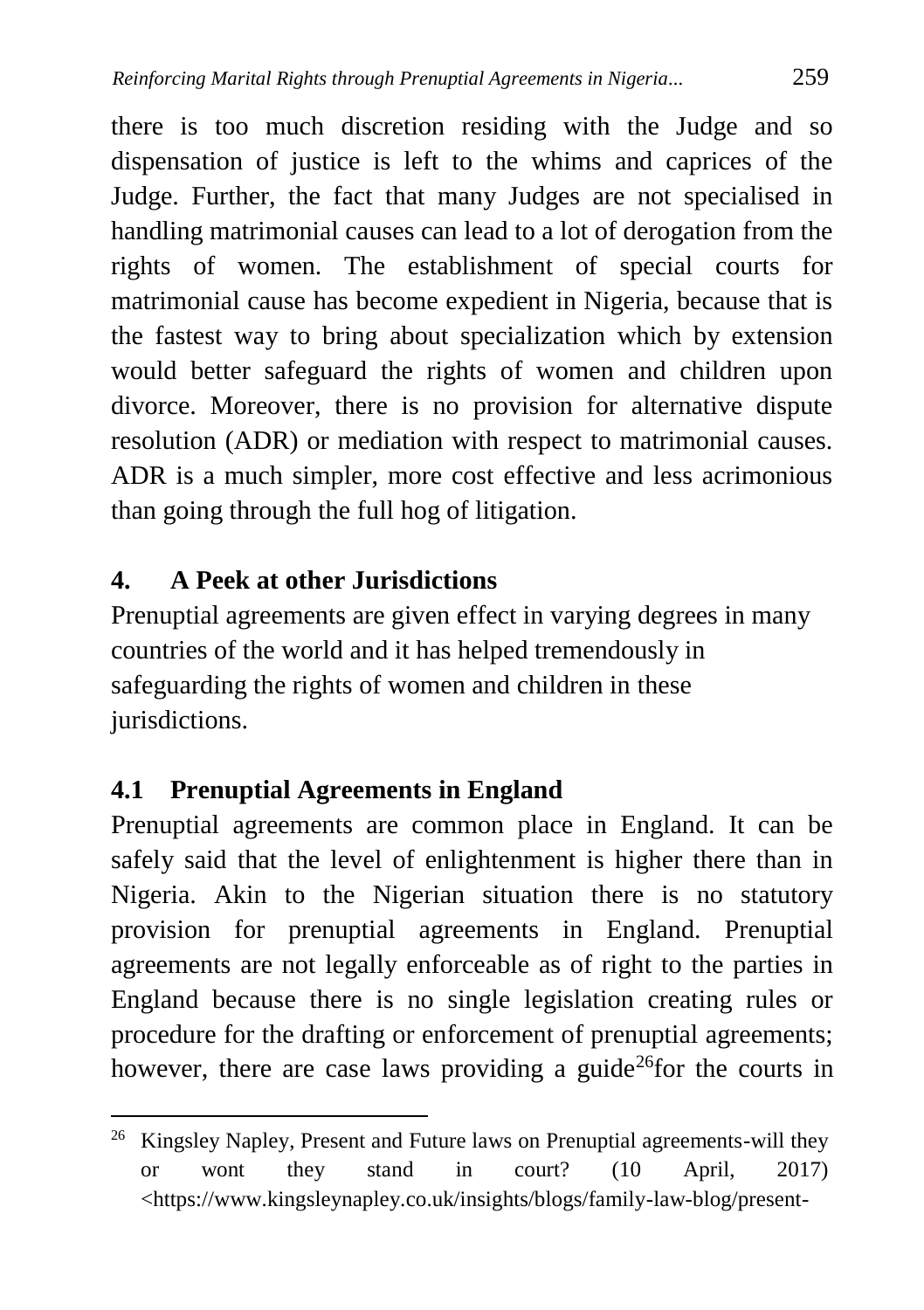there is too much discretion residing with the Judge and so dispensation of justice is left to the whims and caprices of the Judge. Further, the fact that many Judges are not specialised in handling matrimonial causes can lead to a lot of derogation from the rights of women. The establishment of special courts for matrimonial cause has become expedient in Nigeria, because that is the fastest way to bring about specialization which by extension would better safeguard the rights of women and children upon divorce. Moreover, there is no provision for alternative dispute resolution (ADR) or mediation with respect to matrimonial causes. ADR is a much simpler, more cost effective and less acrimonious than going through the full hog of litigation.

### **4. A Peek at other Jurisdictions**

Prenuptial agreements are given effect in varying degrees in many countries of the world and it has helped tremendously in safeguarding the rights of women and children in these jurisdictions.

## **4.1 Prenuptial Agreements in England**

 $\overline{a}$ 

Prenuptial agreements are common place in England. It can be safely said that the level of enlightenment is higher there than in Nigeria. Akin to the Nigerian situation there is no statutory provision for prenuptial agreements in England. Prenuptial agreements are not legally enforceable as of right to the parties in England because there is no single legislation creating rules or procedure for the drafting or enforcement of prenuptial agreements; however, there are case laws providing a guide<sup>26</sup> for the courts in

<sup>&</sup>lt;sup>26</sup> Kingsley Napley, Present and Future laws on Prenuptial agreements-will they or wont they stand in court? (10 April, 2017) <https://www.kingsleynapley.co.uk/insights/blogs/family-law-blog/present-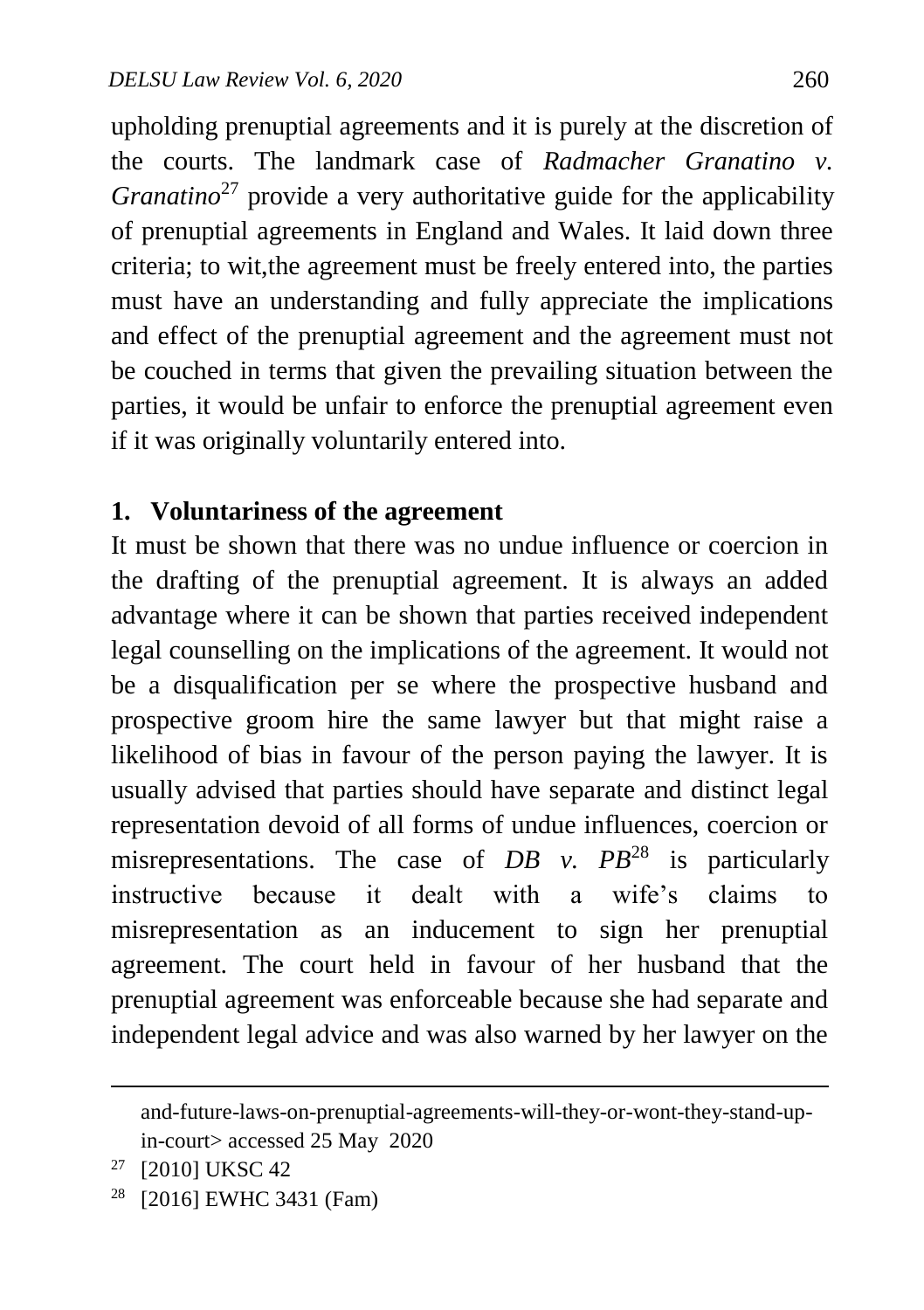upholding prenuptial agreements and it is purely at the discretion of the courts. The landmark case of *Radmacher Granatino v. Granatino*<sup>27</sup> provide a very authoritative guide for the applicability of prenuptial agreements in England and Wales. It laid down three criteria; to wit,the agreement must be freely entered into, the parties must have an understanding and fully appreciate the implications and effect of the prenuptial agreement and the agreement must not be couched in terms that given the prevailing situation between the parties, it would be unfair to enforce the prenuptial agreement even if it was originally voluntarily entered into.

#### **1. Voluntariness of the agreement**

It must be shown that there was no undue influence or coercion in the drafting of the prenuptial agreement. It is always an added advantage where it can be shown that parties received independent legal counselling on the implications of the agreement. It would not be a disqualification per se where the prospective husband and prospective groom hire the same lawyer but that might raise a likelihood of bias in favour of the person paying the lawyer. It is usually advised that parties should have separate and distinct legal representation devoid of all forms of undue influences, coercion or misrepresentations. The case of  $DB$  v.  $PB^{28}$  is particularly instructive because it dealt with a wife's claims to misrepresentation as an inducement to sign her prenuptial agreement. The court held in favour of her husband that the prenuptial agreement was enforceable because she had separate and independent legal advice and was also warned by her lawyer on the

and-future-laws-on-prenuptial-agreements-will-they-or-wont-they-stand-upin-court> accessed 25 May 2020

<sup>27</sup> [2010] UKSC 42

<sup>28</sup> [2016] EWHC 3431 (Fam)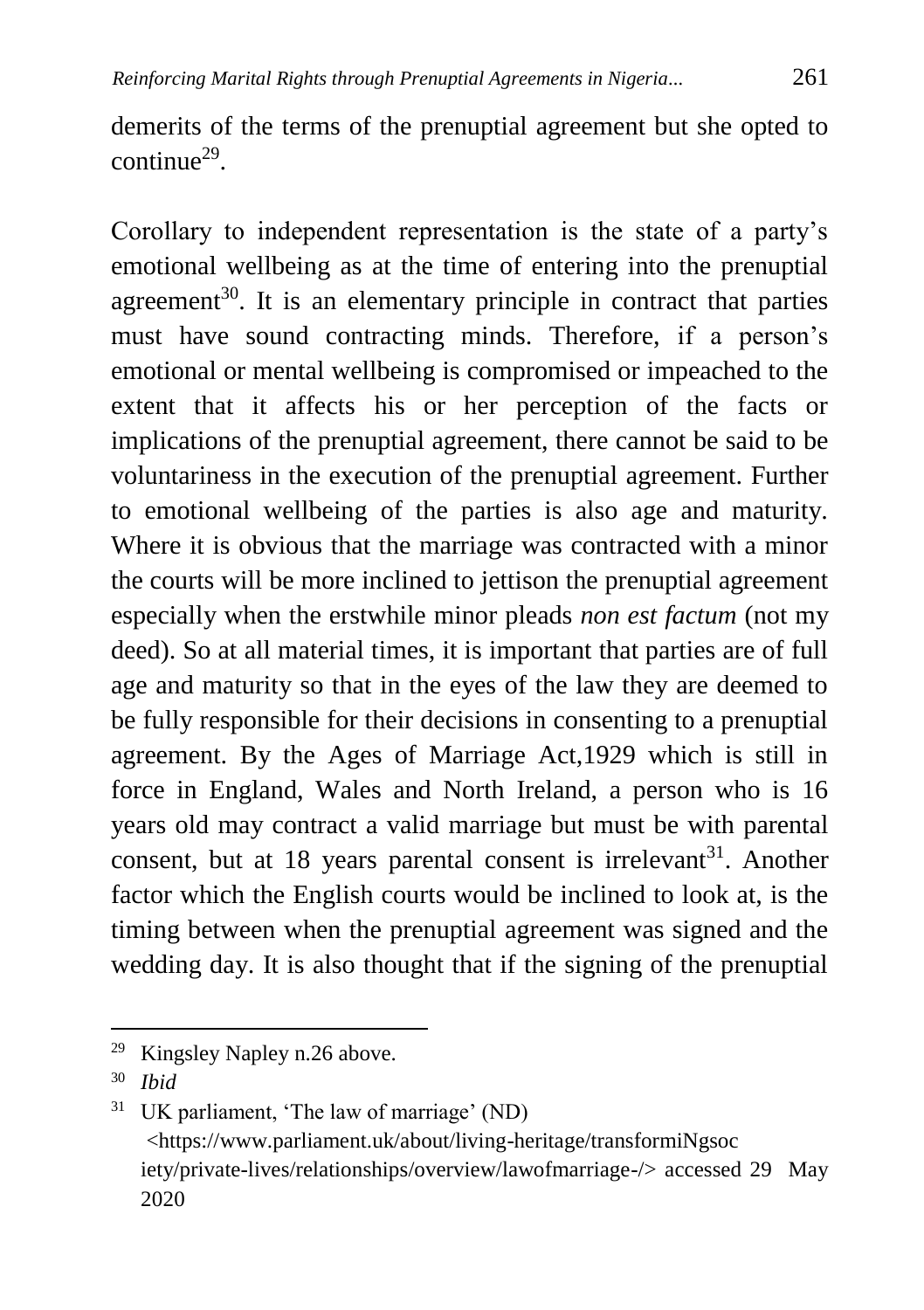demerits of the terms of the prenuptial agreement but she opted to continue<sup>29</sup>.

Corollary to independent representation is the state of a party's emotional wellbeing as at the time of entering into the prenuptial agreement<sup>30</sup>. It is an elementary principle in contract that parties must have sound contracting minds. Therefore, if a person's emotional or mental wellbeing is compromised or impeached to the extent that it affects his or her perception of the facts or implications of the prenuptial agreement, there cannot be said to be voluntariness in the execution of the prenuptial agreement. Further to emotional wellbeing of the parties is also age and maturity. Where it is obvious that the marriage was contracted with a minor the courts will be more inclined to jettison the prenuptial agreement especially when the erstwhile minor pleads *non est factum* (not my deed). So at all material times, it is important that parties are of full age and maturity so that in the eyes of the law they are deemed to be fully responsible for their decisions in consenting to a prenuptial agreement. By the Ages of Marriage Act,1929 which is still in force in England, Wales and North Ireland, a person who is 16 years old may contract a valid marriage but must be with parental consent, but at 18 years parental consent is irrelevant<sup>31</sup>. Another factor which the English courts would be inclined to look at, is the timing between when the prenuptial agreement was signed and the wedding day. It is also thought that if the signing of the prenuptial

<sup>29</sup> Kingsley Napley n.26 above.

<sup>30</sup> *Ibid*

<sup>31</sup> UK parliament, 'The law of marriage' (ND) <https://www.parliament.uk/about/living-heritage/transformiNgsoc iety/private-lives/relationships/overview/lawofmarriage-/> accessed 29 May 2020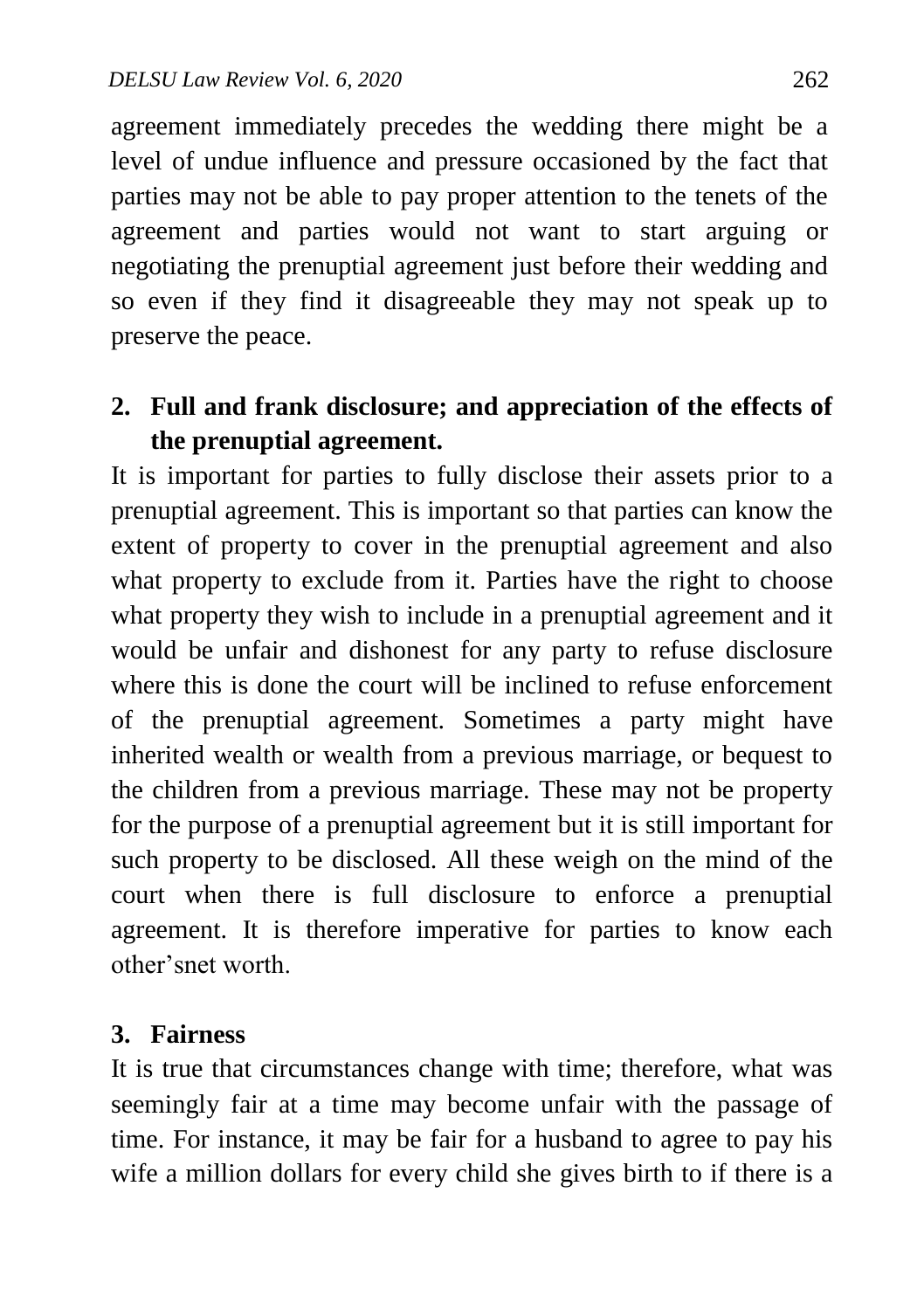agreement immediately precedes the wedding there might be a level of undue influence and pressure occasioned by the fact that parties may not be able to pay proper attention to the tenets of the agreement and parties would not want to start arguing or negotiating the prenuptial agreement just before their wedding and so even if they find it disagreeable they may not speak up to preserve the peace.

# **2. Full and frank disclosure; and appreciation of the effects of the prenuptial agreement.**

It is important for parties to fully disclose their assets prior to a prenuptial agreement. This is important so that parties can know the extent of property to cover in the prenuptial agreement and also what property to exclude from it. Parties have the right to choose what property they wish to include in a prenuptial agreement and it would be unfair and dishonest for any party to refuse disclosure where this is done the court will be inclined to refuse enforcement of the prenuptial agreement. Sometimes a party might have inherited wealth or wealth from a previous marriage, or bequest to the children from a previous marriage. These may not be property for the purpose of a prenuptial agreement but it is still important for such property to be disclosed. All these weigh on the mind of the court when there is full disclosure to enforce a prenuptial agreement. It is therefore imperative for parties to know each other'snet worth.

### **3. Fairness**

It is true that circumstances change with time; therefore, what was seemingly fair at a time may become unfair with the passage of time. For instance, it may be fair for a husband to agree to pay his wife a million dollars for every child she gives birth to if there is a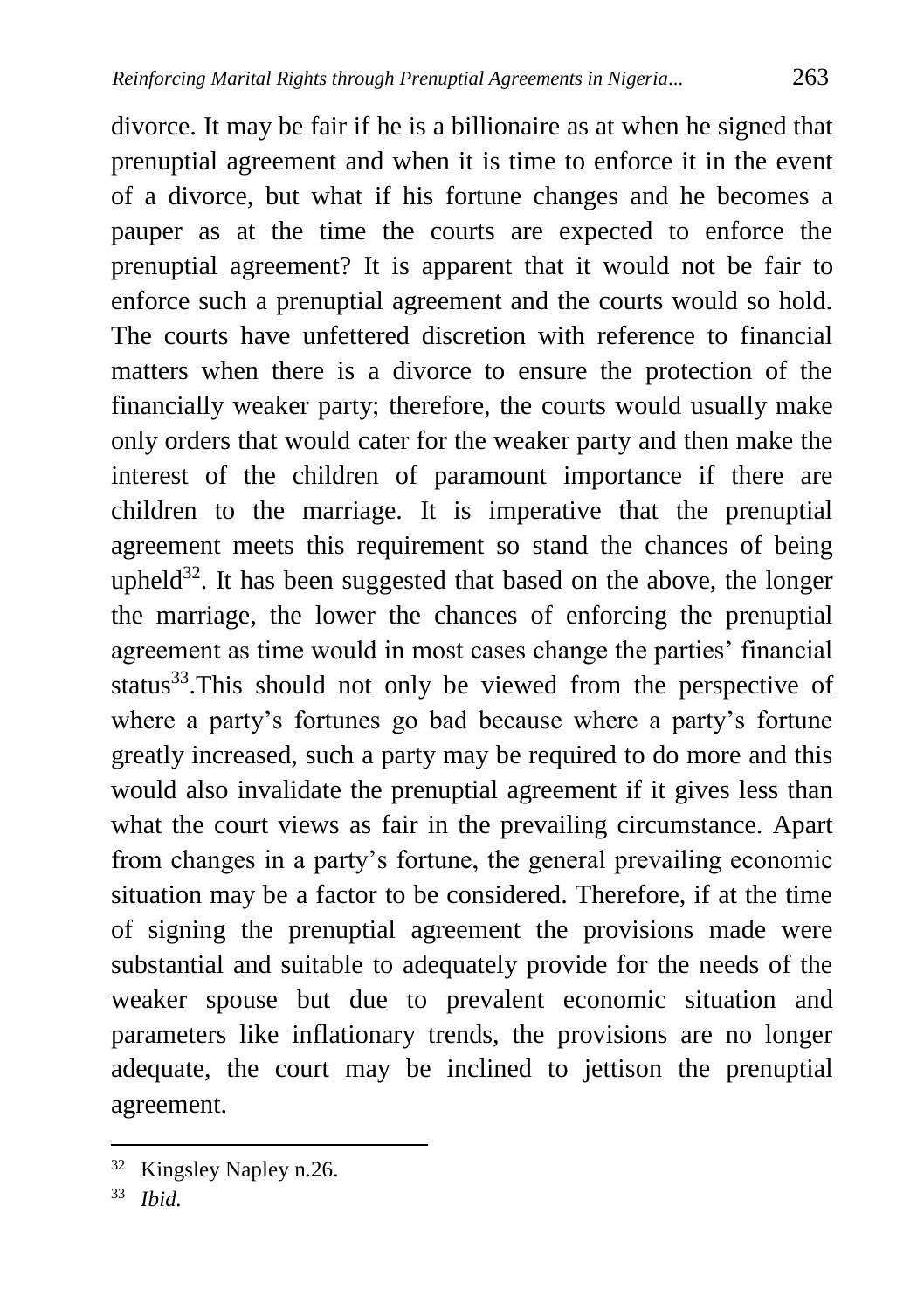divorce. It may be fair if he is a billionaire as at when he signed that prenuptial agreement and when it is time to enforce it in the event of a divorce, but what if his fortune changes and he becomes a pauper as at the time the courts are expected to enforce the prenuptial agreement? It is apparent that it would not be fair to enforce such a prenuptial agreement and the courts would so hold. The courts have unfettered discretion with reference to financial matters when there is a divorce to ensure the protection of the financially weaker party; therefore, the courts would usually make only orders that would cater for the weaker party and then make the interest of the children of paramount importance if there are children to the marriage. It is imperative that the prenuptial agreement meets this requirement so stand the chances of being upheld<sup>32</sup>. It has been suggested that based on the above, the longer the marriage, the lower the chances of enforcing the prenuptial agreement as time would in most cases change the parties' financial status<sup>33</sup>.This should not only be viewed from the perspective of where a party's fortunes go bad because where a party's fortune greatly increased, such a party may be required to do more and this would also invalidate the prenuptial agreement if it gives less than what the court views as fair in the prevailing circumstance. Apart from changes in a party's fortune, the general prevailing economic situation may be a factor to be considered. Therefore, if at the time of signing the prenuptial agreement the provisions made were substantial and suitable to adequately provide for the needs of the weaker spouse but due to prevalent economic situation and parameters like inflationary trends, the provisions are no longer adequate, the court may be inclined to jettison the prenuptial agreement.

<sup>32</sup> Kingsley Napley n.26.

<sup>33</sup> *Ibid.*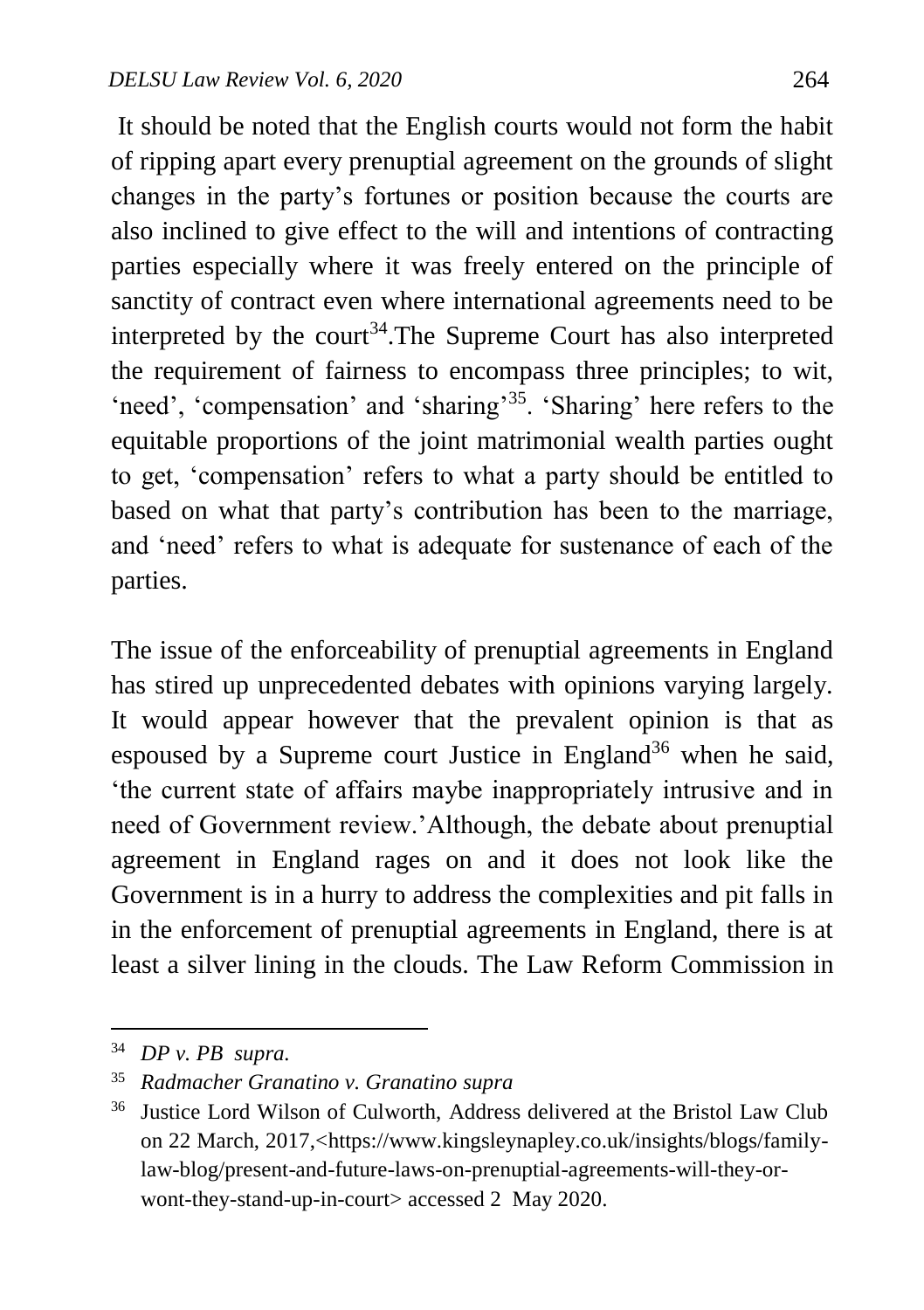It should be noted that the English courts would not form the habit of ripping apart every prenuptial agreement on the grounds of slight changes in the party's fortunes or position because the courts are also inclined to give effect to the will and intentions of contracting parties especially where it was freely entered on the principle of sanctity of contract even where international agreements need to be interpreted by the court<sup>34</sup>. The Supreme Court has also interpreted the requirement of fairness to encompass three principles; to wit, 'need', 'compensation' and 'sharing'<sup>35</sup>. 'Sharing' here refers to the equitable proportions of the joint matrimonial wealth parties ought to get, 'compensation' refers to what a party should be entitled to based on what that party's contribution has been to the marriage, and 'need' refers to what is adequate for sustenance of each of the parties.

The issue of the enforceability of prenuptial agreements in England has stired up unprecedented debates with opinions varying largely. It would appear however that the prevalent opinion is that as espoused by a Supreme court Justice in England<sup>36</sup> when he said, 'the current state of affairs maybe inappropriately intrusive and in need of Government review.'Although, the debate about prenuptial agreement in England rages on and it does not look like the Government is in a hurry to address the complexities and pit falls in in the enforcement of prenuptial agreements in England, there is at least a silver lining in the clouds. The Law Reform Commission in

<sup>34</sup> *DP v. PB supra.*

<sup>35</sup> *Radmacher Granatino v. Granatino supra*

<sup>36</sup> Justice Lord Wilson of Culworth, Address delivered at the Bristol Law Club on 22 March, 2017,<https://www.kingsleynapley.co.uk/insights/blogs/familylaw-blog/present-and-future-laws-on-prenuptial-agreements-will-they-orwont-they-stand-up-in-court> accessed 2 May 2020.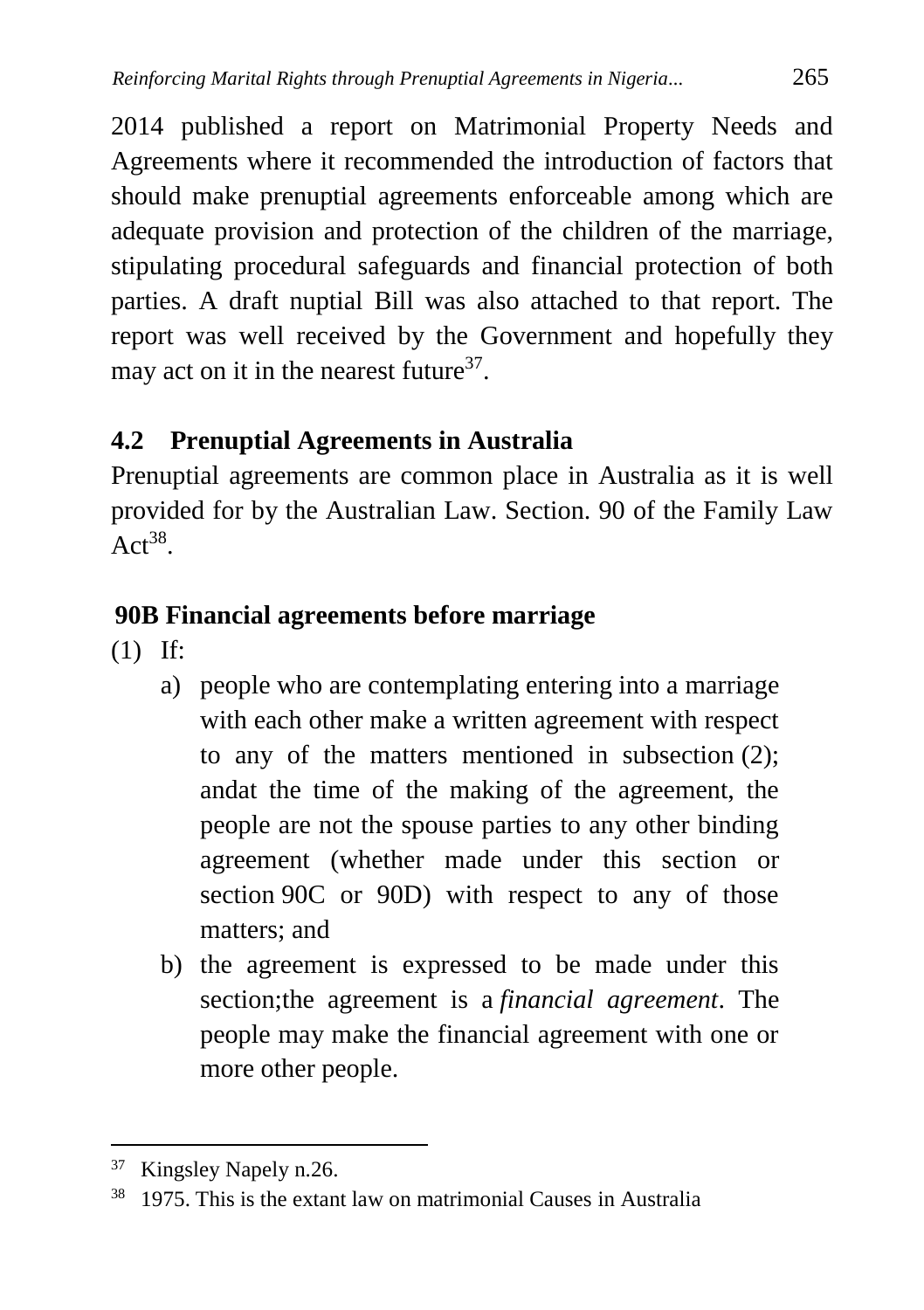2014 published a report on Matrimonial Property Needs and Agreements where it recommended the introduction of factors that should make prenuptial agreements enforceable among which are adequate provision and protection of the children of the marriage, stipulating procedural safeguards and financial protection of both parties. A draft nuptial Bill was also attached to that report. The report was well received by the Government and hopefully they may act on it in the nearest future<sup>37</sup>.

## **4.2 Prenuptial Agreements in Australia**

Prenuptial agreements are common place in Australia as it is well provided for by the Australian Law. Section. 90 of the Family Law  $Act^{38}$ .

## **90B Financial agreements before marriage**

(1) If:

- a) people who are contemplating entering into a marriage with each other make a written agreement with respect to any of the matters mentioned in subsection (2); andat the time of the making of the agreement, the people are not the spouse parties to any other binding agreement (whether made under this section or section 90C or 90D) with respect to any of those matters; and
- b) the agreement is expressed to be made under this section;the agreement is a *financial agreement*. The people may make the financial agreement with one or more other people.

<sup>&</sup>lt;sup>37</sup> Kingsley Napely n.26.

 $38$  1975. This is the extant law on matrimonial Causes in Australia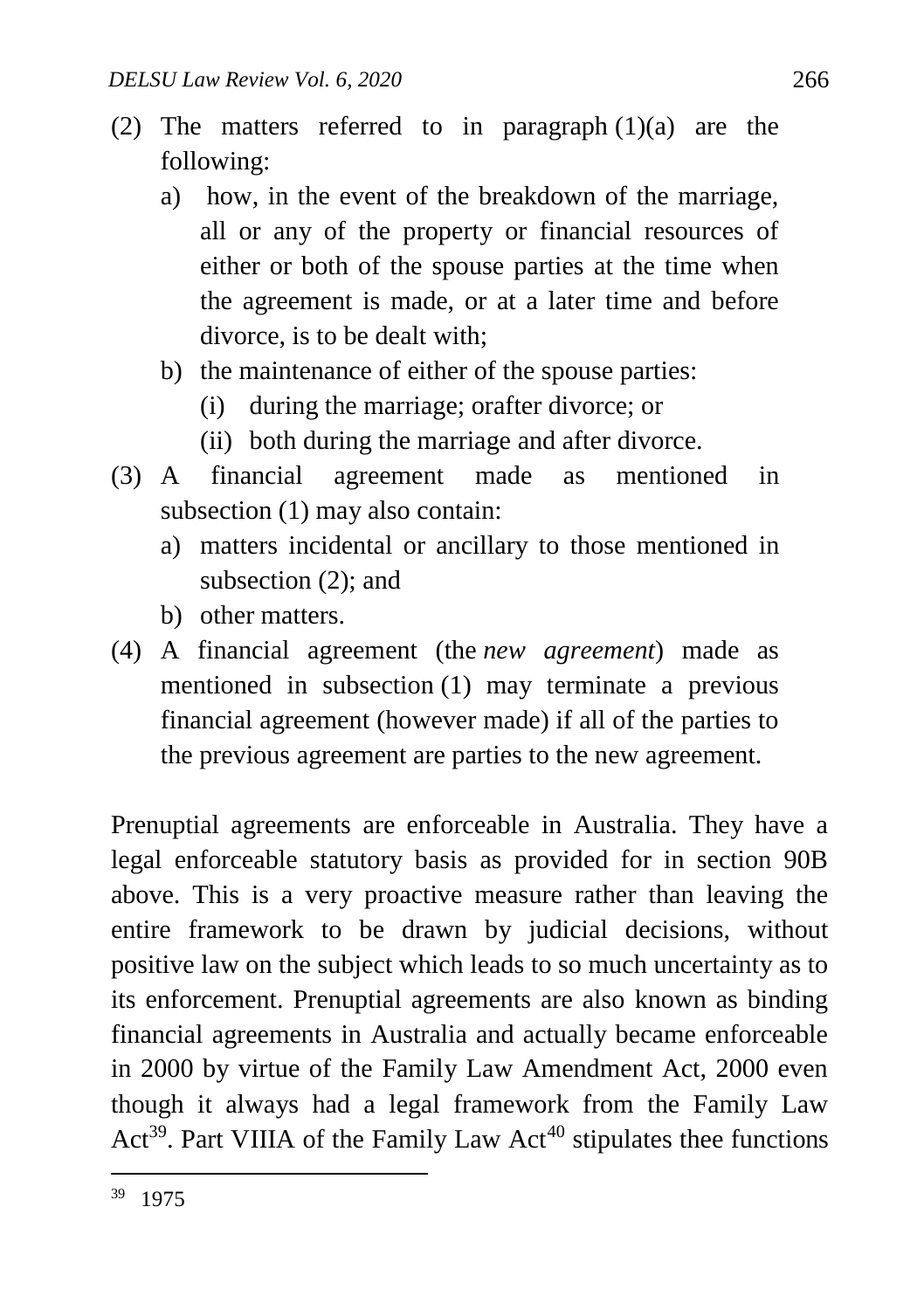- (2) The matters referred to in paragraph  $(1)(a)$  are the following:
	- a) how, in the event of the breakdown of the marriage, all or any of the property or financial resources of either or both of the spouse parties at the time when the agreement is made, or at a later time and before divorce, is to be dealt with;
	- b) the maintenance of either of the spouse parties:
		- (i) during the marriage; orafter divorce; or
		- (ii) both during the marriage and after divorce.
- (3) A financial agreement made as mentioned in subsection (1) may also contain:
	- a) matters incidental or ancillary to those mentioned in subsection (2); and
	- b) other matters.
- (4) A financial agreement (the *new agreement*) made as mentioned in subsection (1) may terminate a previous financial agreement (however made) if all of the parties to the previous agreement are parties to the new agreement.

Prenuptial agreements are enforceable in Australia. They have a legal enforceable statutory basis as provided for in section 90B above. This is a very proactive measure rather than leaving the entire framework to be drawn by judicial decisions, without positive law on the subject which leads to so much uncertainty as to its enforcement. Prenuptial agreements are also known as binding financial agreements in Australia and actually became enforceable in 2000 by virtue of the Family Law Amendment Act, 2000 even though it always had a legal framework from the Family Law Act<sup>39</sup>. Part VIIIA of the Family Law Act<sup>40</sup> stipulates thee functions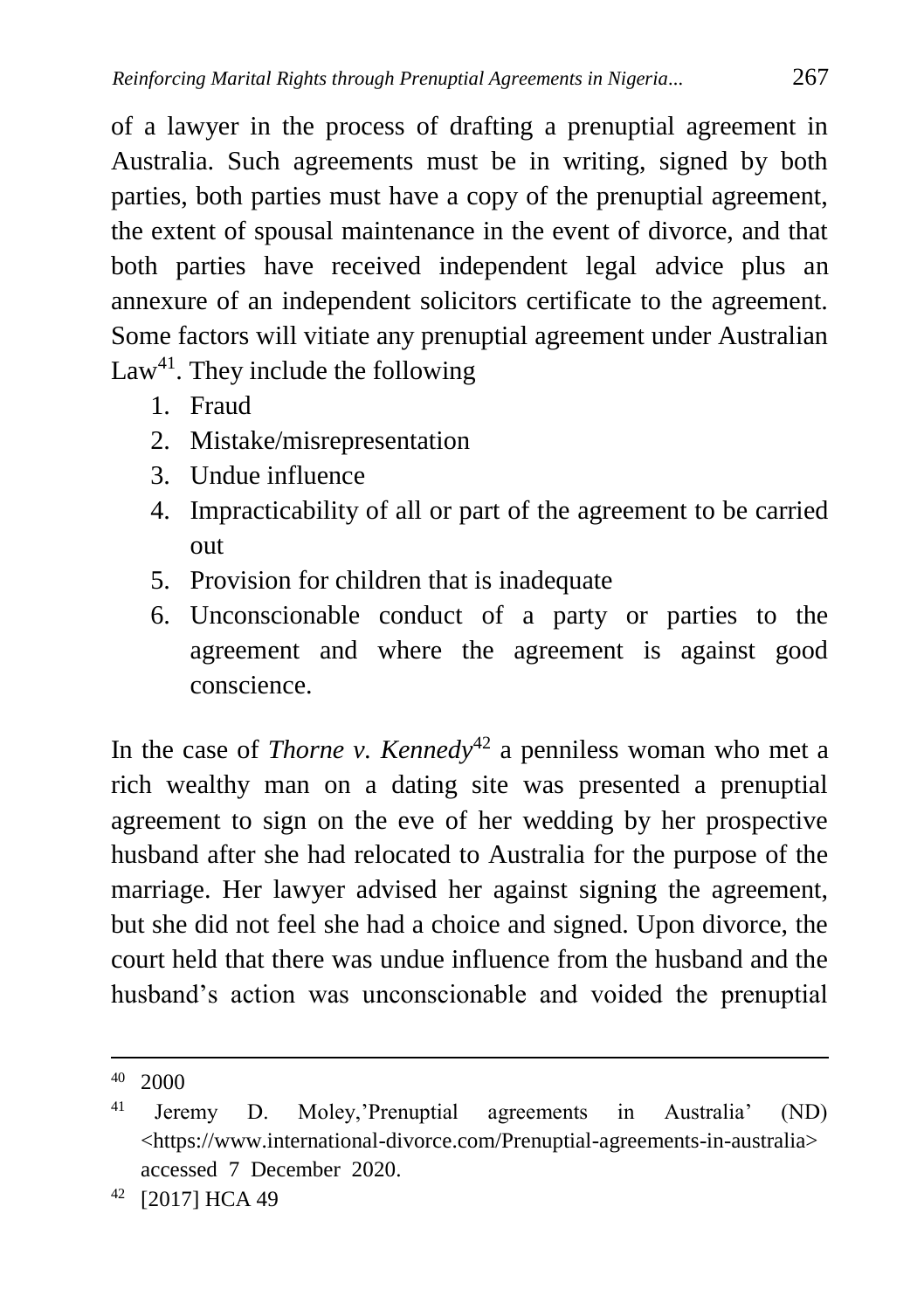of a lawyer in the process of drafting a prenuptial agreement in Australia. Such agreements must be in writing, signed by both parties, both parties must have a copy of the prenuptial agreement, the extent of spousal maintenance in the event of divorce, and that both parties have received independent legal advice plus an annexure of an independent solicitors certificate to the agreement. Some factors will vitiate any prenuptial agreement under Australian Law<sup>41</sup>. They include the following

- 1. Fraud
- 2. Mistake/misrepresentation
- 3. Undue influence
- 4. Impracticability of all or part of the agreement to be carried out
- 5. Provision for children that is inadequate
- 6. Unconscionable conduct of a party or parties to the agreement and where the agreement is against good conscience.

In the case of *Thorne v. Kenned*  $v^4$ <sup>2</sup> a penniless woman who met a rich wealthy man on a dating site was presented a prenuptial agreement to sign on the eve of her wedding by her prospective husband after she had relocated to Australia for the purpose of the marriage. Her lawyer advised her against signing the agreement, but she did not feel she had a choice and signed. Upon divorce, the court held that there was undue influence from the husband and the husband's action was unconscionable and voided the prenuptial

 $\overline{a}$ <sup>40</sup> 2000

<sup>41</sup> Jeremy D. Moley,'Prenuptial agreements in Australia' (ND) <https://www.international-divorce.com/Prenuptial-agreements-in-australia> accessed 7 December 2020.

<sup>42</sup> [2017] HCA 49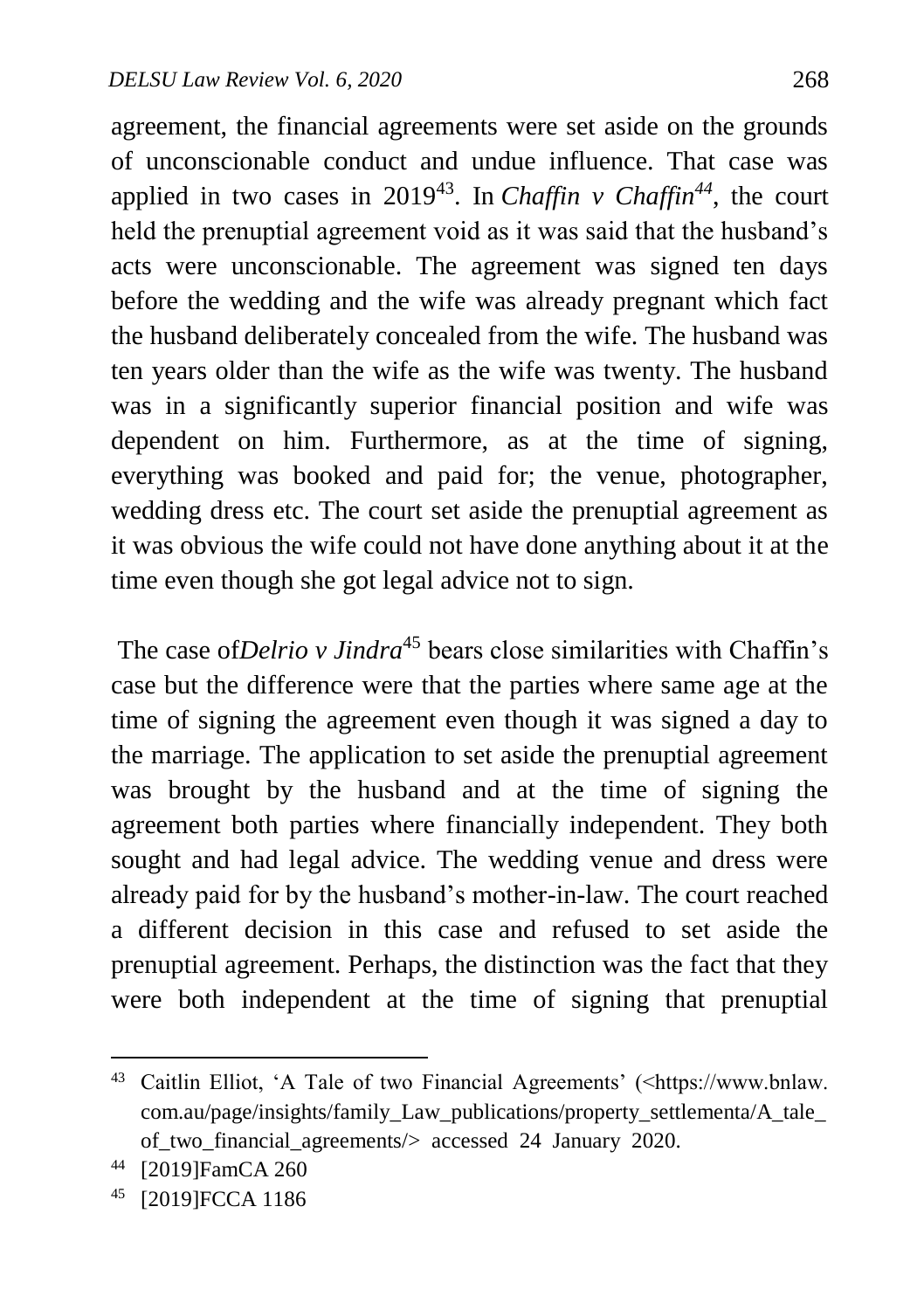agreement, the financial agreements were set aside on the grounds of unconscionable conduct and undue influence. That case was applied in two cases in 2019<sup>43</sup>. In *Chaffin*  $\nu$  *Chaffin*<sup>44</sup>, the court held the prenuptial agreement void as it was said that the husband's acts were unconscionable. The agreement was signed ten days before the wedding and the wife was already pregnant which fact the husband deliberately concealed from the wife. The husband was ten years older than the wife as the wife was twenty. The husband was in a significantly superior financial position and wife was dependent on him. Furthermore, as at the time of signing, everything was booked and paid for; the venue, photographer, wedding dress etc. The court set aside the prenuptial agreement as it was obvious the wife could not have done anything about it at the time even though she got legal advice not to sign.

The case of*Delrio v Jindra*<sup>45</sup> bears close similarities with Chaffin's case but the difference were that the parties where same age at the time of signing the agreement even though it was signed a day to the marriage. The application to set aside the prenuptial agreement was brought by the husband and at the time of signing the agreement both parties where financially independent. They both sought and had legal advice. The wedding venue and dress were already paid for by the husband's mother-in-law. The court reached a different decision in this case and refused to set aside the prenuptial agreement. Perhaps, the distinction was the fact that they were both independent at the time of signing that prenuptial

<sup>&</sup>lt;sup>43</sup> Caitlin Elliot, 'A Tale of two Financial Agreements' (<https://www.bnlaw. com.au/page/insights/family\_Law\_publications/property\_settlementa/A\_tale\_ of\_two\_financial\_agreements/> accessed 24 January 2020.

<sup>44</sup> [2019]FamCA 260

<sup>45</sup> [2019]FCCA 1186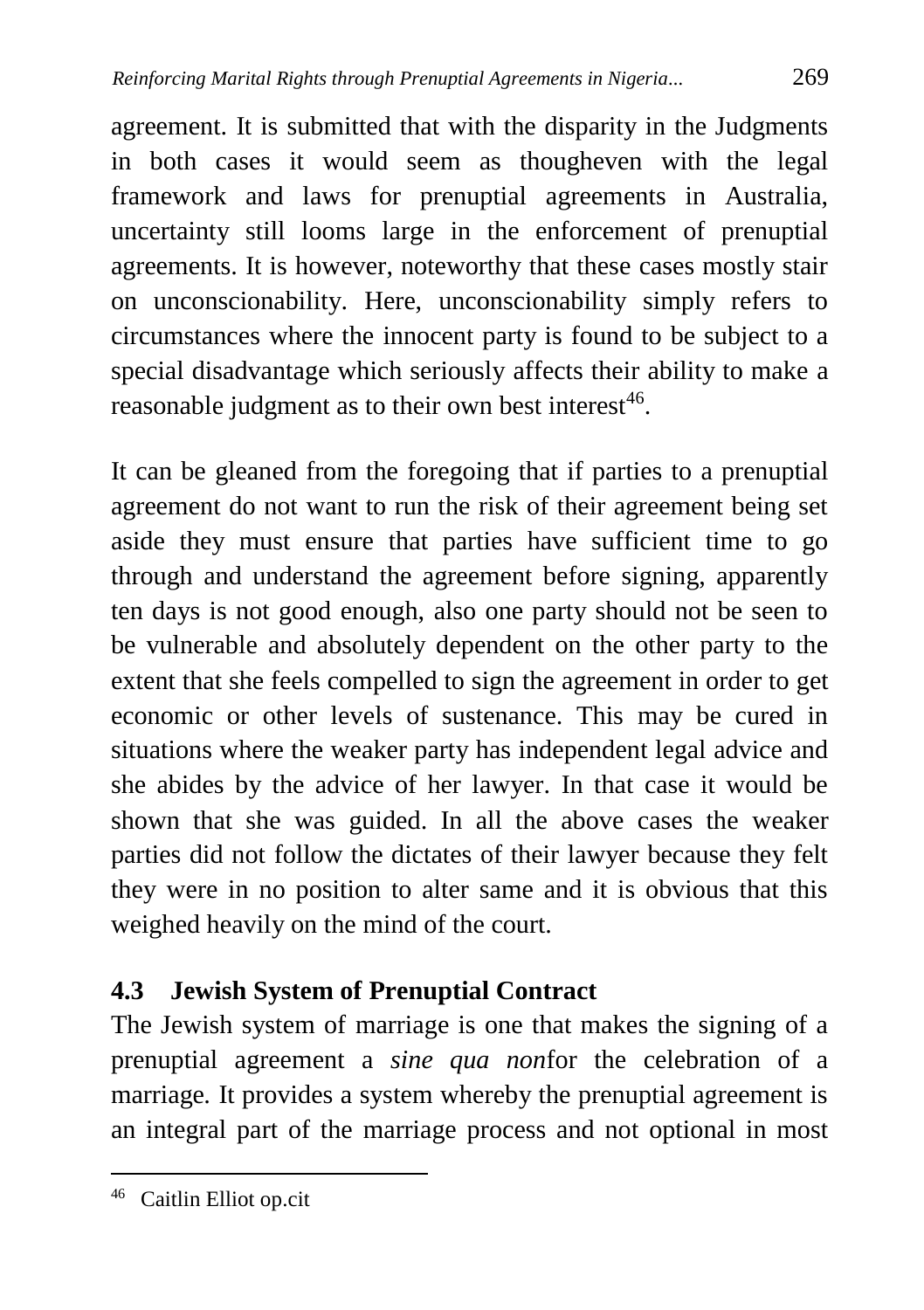agreement. It is submitted that with the disparity in the Judgments in both cases it would seem as thougheven with the legal framework and laws for prenuptial agreements in Australia, uncertainty still looms large in the enforcement of prenuptial agreements. It is however, noteworthy that these cases mostly stair on unconscionability. Here, unconscionability simply refers to circumstances where the innocent party is found to be subject to a special disadvantage which seriously affects their ability to make a reasonable judgment as to their own best interest<sup>46</sup>.

It can be gleaned from the foregoing that if parties to a prenuptial agreement do not want to run the risk of their agreement being set aside they must ensure that parties have sufficient time to go through and understand the agreement before signing, apparently ten days is not good enough, also one party should not be seen to be vulnerable and absolutely dependent on the other party to the extent that she feels compelled to sign the agreement in order to get economic or other levels of sustenance. This may be cured in situations where the weaker party has independent legal advice and she abides by the advice of her lawyer. In that case it would be shown that she was guided. In all the above cases the weaker parties did not follow the dictates of their lawyer because they felt they were in no position to alter same and it is obvious that this weighed heavily on the mind of the court.

## **4.3 Jewish System of Prenuptial Contract**

The Jewish system of marriage is one that makes the signing of a prenuptial agreement a *sine qua non*for the celebration of a marriage*.* It provides a system whereby the prenuptial agreement is an integral part of the marriage process and not optional in most

<sup>46</sup> Caitlin Elliot op.cit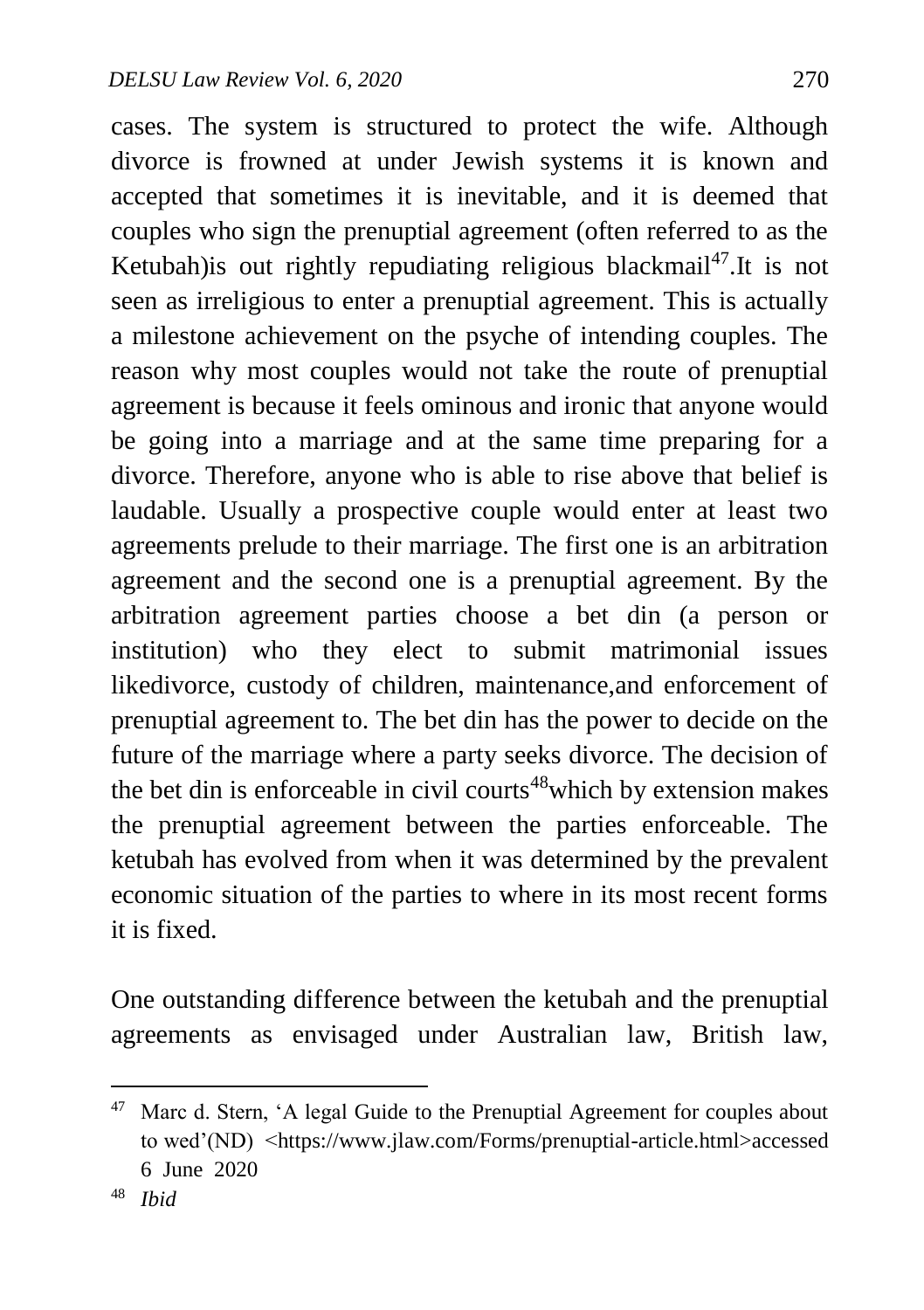cases. The system is structured to protect the wife. Although divorce is frowned at under Jewish systems it is known and accepted that sometimes it is inevitable, and it is deemed that couples who sign the prenuptial agreement (often referred to as the Ketubah) is out rightly repudiating religious blackmail<sup>47</sup>. It is not seen as irreligious to enter a prenuptial agreement. This is actually a milestone achievement on the psyche of intending couples. The reason why most couples would not take the route of prenuptial agreement is because it feels ominous and ironic that anyone would be going into a marriage and at the same time preparing for a divorce. Therefore, anyone who is able to rise above that belief is laudable. Usually a prospective couple would enter at least two agreements prelude to their marriage. The first one is an arbitration agreement and the second one is a prenuptial agreement. By the arbitration agreement parties choose a bet din (a person or institution) who they elect to submit matrimonial issues likedivorce, custody of children, maintenance,and enforcement of prenuptial agreement to. The bet din has the power to decide on the future of the marriage where a party seeks divorce. The decision of the bet din is enforceable in civil courts<sup> $48$ </sup> which by extension makes the prenuptial agreement between the parties enforceable. The ketubah has evolved from when it was determined by the prevalent economic situation of the parties to where in its most recent forms it is fixed.

One outstanding difference between the ketubah and the prenuptial agreements as envisaged under Australian law, British law,

<sup>&</sup>lt;sup>47</sup> Marc d. Stern, 'A legal Guide to the Prenuptial Agreement for couples about to wed'(ND) <https://www.jlaw.com/Forms/prenuptial-article.html>accessed 6 June 2020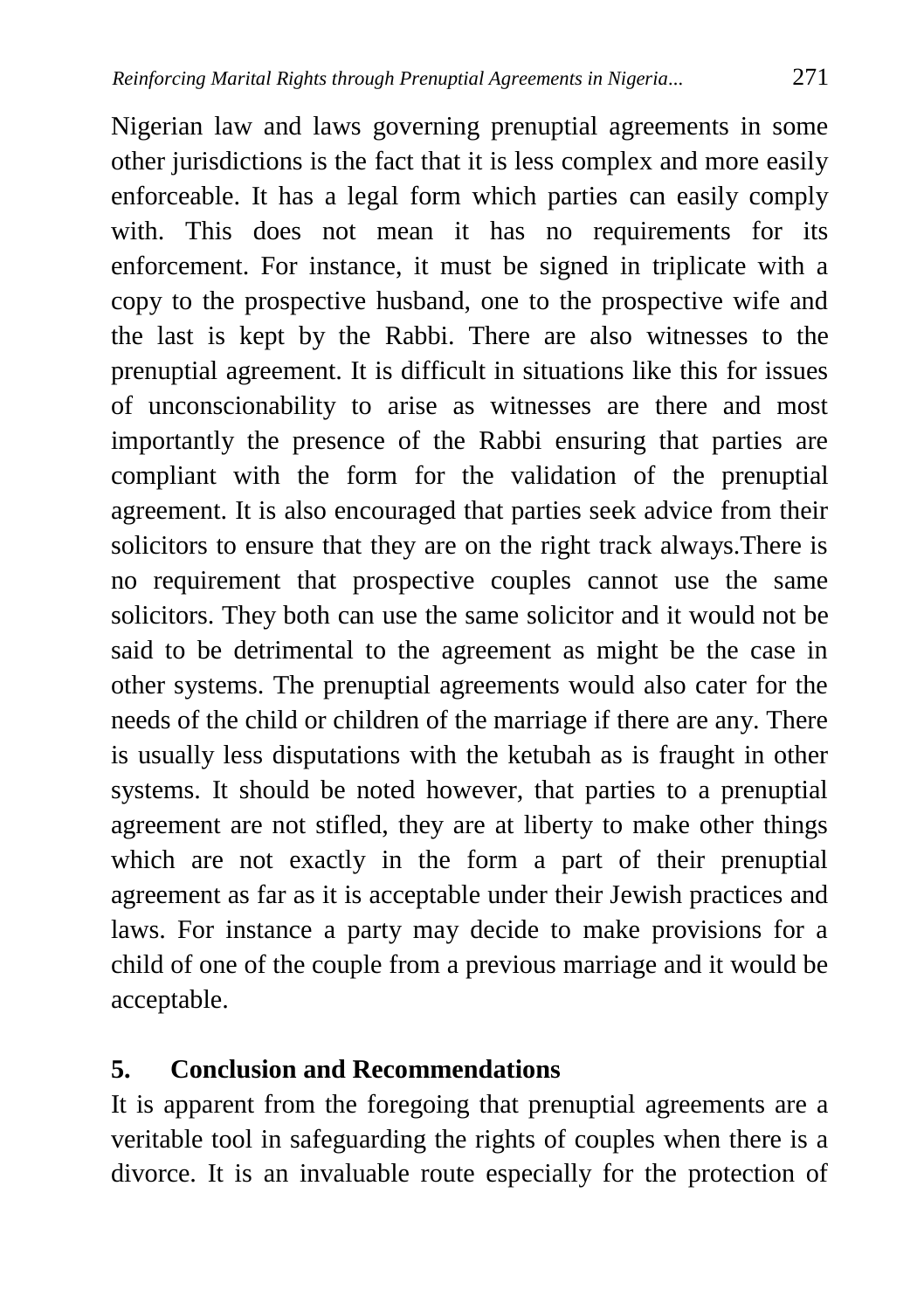Nigerian law and laws governing prenuptial agreements in some other jurisdictions is the fact that it is less complex and more easily enforceable. It has a legal form which parties can easily comply with. This does not mean it has no requirements for its enforcement. For instance, it must be signed in triplicate with a copy to the prospective husband, one to the prospective wife and the last is kept by the Rabbi. There are also witnesses to the prenuptial agreement. It is difficult in situations like this for issues of unconscionability to arise as witnesses are there and most importantly the presence of the Rabbi ensuring that parties are compliant with the form for the validation of the prenuptial agreement. It is also encouraged that parties seek advice from their solicitors to ensure that they are on the right track always.There is no requirement that prospective couples cannot use the same solicitors. They both can use the same solicitor and it would not be said to be detrimental to the agreement as might be the case in other systems. The prenuptial agreements would also cater for the needs of the child or children of the marriage if there are any. There is usually less disputations with the ketubah as is fraught in other systems. It should be noted however, that parties to a prenuptial agreement are not stifled, they are at liberty to make other things which are not exactly in the form a part of their prenuptial agreement as far as it is acceptable under their Jewish practices and laws. For instance a party may decide to make provisions for a child of one of the couple from a previous marriage and it would be acceptable.

### **5. Conclusion and Recommendations**

It is apparent from the foregoing that prenuptial agreements are a veritable tool in safeguarding the rights of couples when there is a divorce. It is an invaluable route especially for the protection of